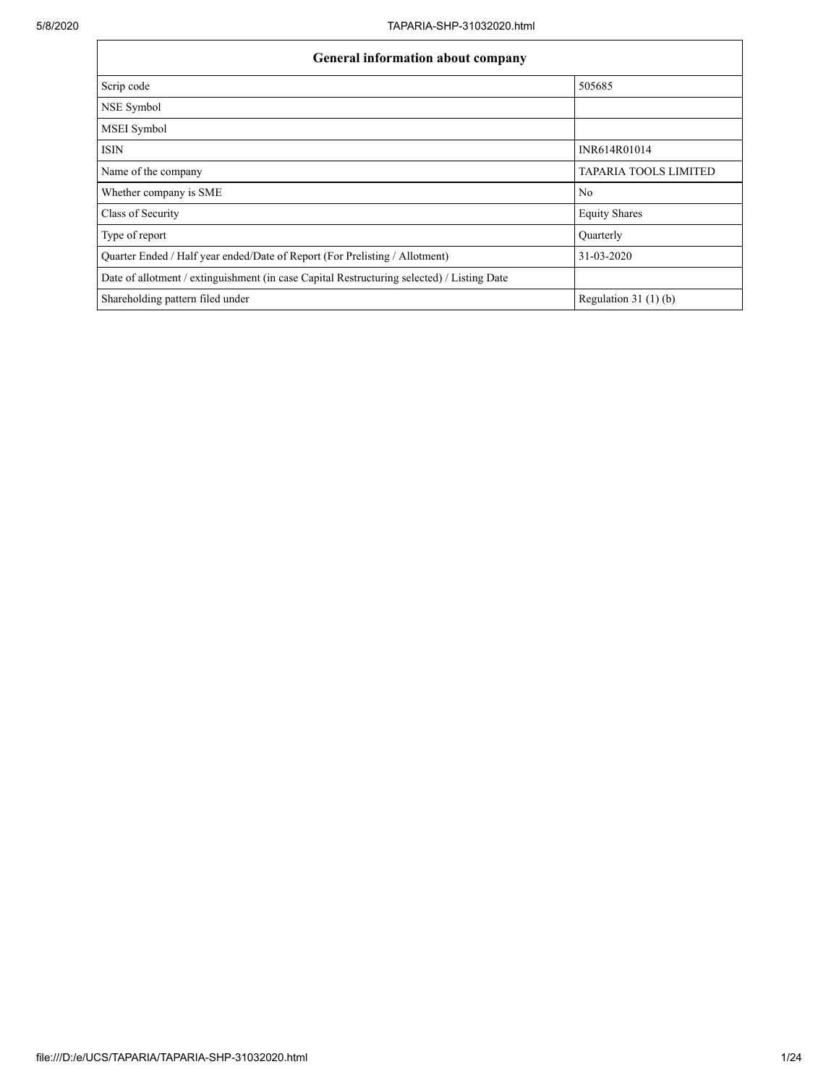$\mathsf{r}$ 

| <b>General information about company</b>                                                   |                              |
|--------------------------------------------------------------------------------------------|------------------------------|
| Scrip code                                                                                 | 505685                       |
| NSE Symbol                                                                                 |                              |
| <b>MSEI</b> Symbol                                                                         |                              |
| <b>ISIN</b>                                                                                | INR614R01014                 |
| Name of the company                                                                        | <b>TAPARIA TOOLS LIMITED</b> |
| Whether company is SME                                                                     | N <sub>0</sub>               |
| Class of Security                                                                          | <b>Equity Shares</b>         |
| Type of report                                                                             | Quarterly                    |
| Quarter Ended / Half year ended/Date of Report (For Prelisting / Allotment)                | 31-03-2020                   |
| Date of allotment / extinguishment (in case Capital Restructuring selected) / Listing Date |                              |
| Shareholding pattern filed under                                                           | Regulation 31 $(1)(b)$       |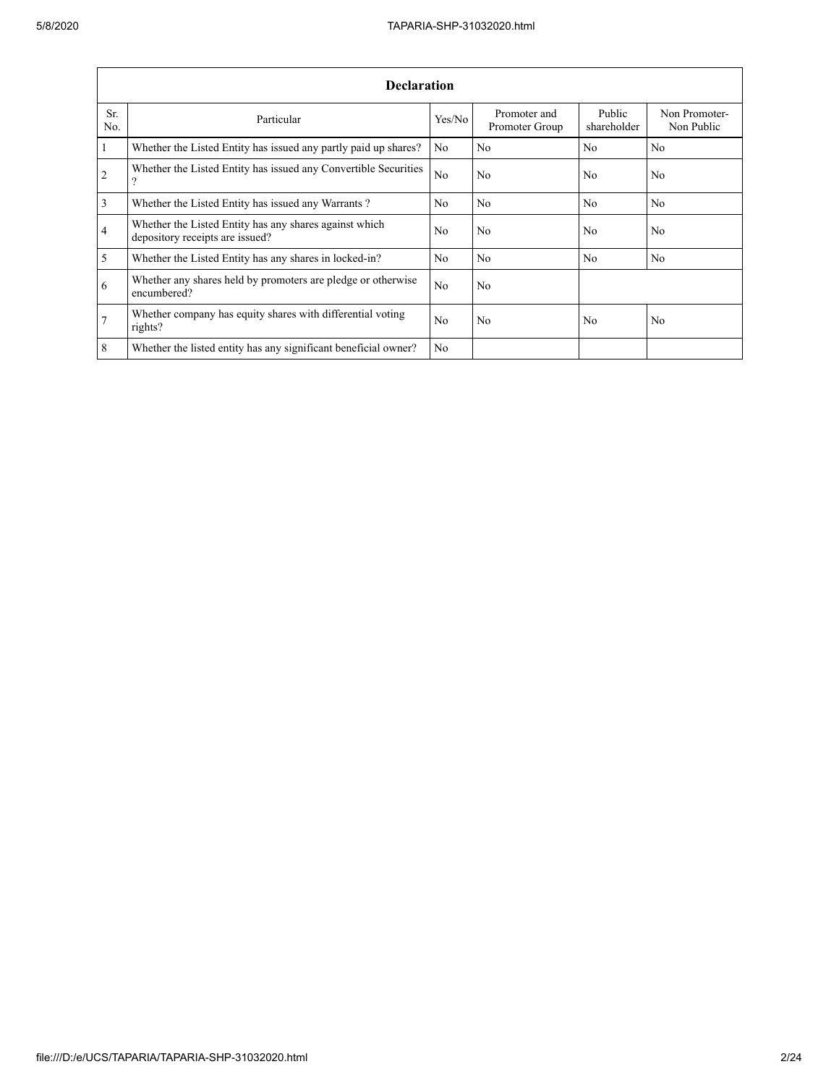|                | <b>Declaration</b>                                                                        |                |                                |                       |                             |
|----------------|-------------------------------------------------------------------------------------------|----------------|--------------------------------|-----------------------|-----------------------------|
| Sr.<br>No.     | Particular                                                                                | Yes/No         | Promoter and<br>Promoter Group | Public<br>shareholder | Non Promoter-<br>Non Public |
| $\vert$ 1      | Whether the Listed Entity has issued any partly paid up shares?                           | N <sub>0</sub> | N <sub>0</sub>                 | No                    | N <sub>0</sub>              |
| $\overline{2}$ | Whether the Listed Entity has issued any Convertible Securities<br>9                      | No             | N <sub>0</sub>                 | N <sub>0</sub>        | N <sub>0</sub>              |
| $\overline{3}$ | Whether the Listed Entity has issued any Warrants?                                        | N <sub>0</sub> | N <sub>0</sub>                 | N <sub>0</sub>        | No                          |
| $\overline{4}$ | Whether the Listed Entity has any shares against which<br>depository receipts are issued? | N <sub>0</sub> | N <sub>0</sub>                 | N <sub>0</sub>        | N <sub>0</sub>              |
| $\overline{5}$ | Whether the Listed Entity has any shares in locked-in?                                    | N <sub>0</sub> | N <sub>0</sub>                 | N <sub>0</sub>        | N <sub>0</sub>              |
| 6              | Whether any shares held by promoters are pledge or otherwise<br>encumbered?               | N <sub>0</sub> | N <sub>0</sub>                 |                       |                             |
| $\overline{7}$ | Whether company has equity shares with differential voting<br>rights?                     | N <sub>0</sub> | N <sub>0</sub>                 | N <sub>0</sub>        | N <sub>0</sub>              |
| 8              | Whether the listed entity has any significant beneficial owner?                           | N <sub>0</sub> |                                |                       |                             |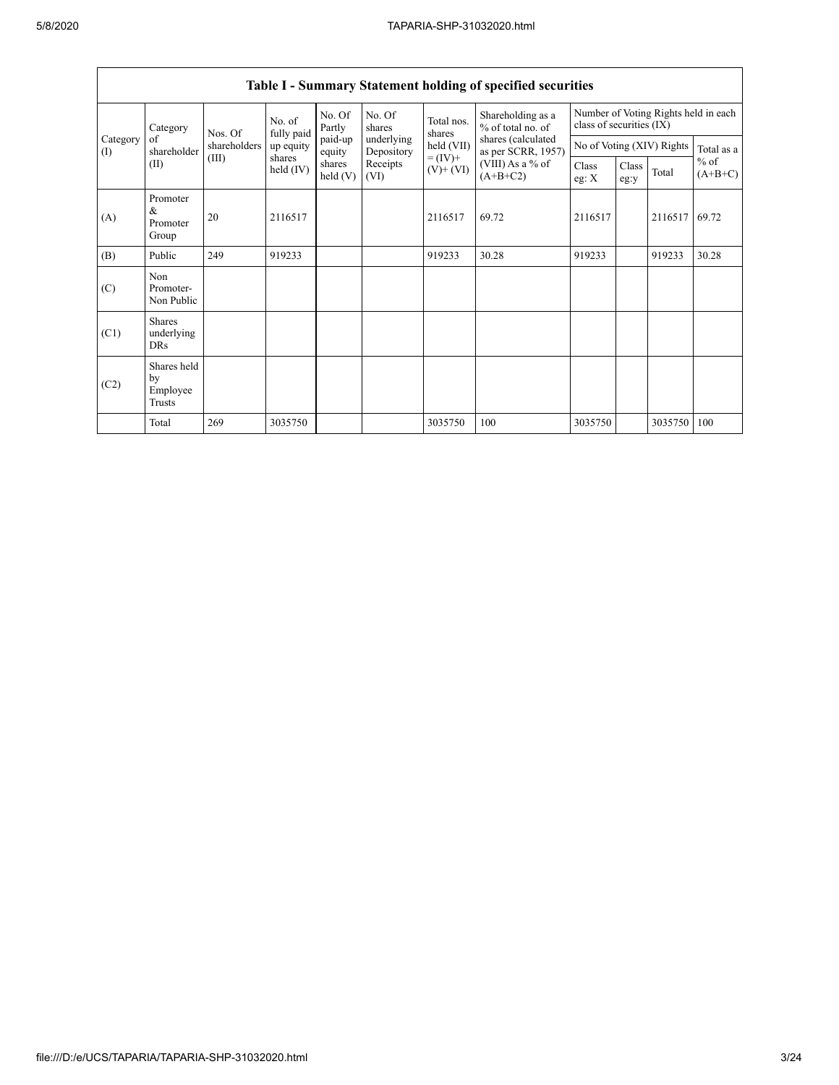|                 | Category                                  | Nos. Of      | No. of<br>fully paid | No. Of<br>Partly  | No. Of<br>shares         | Total nos.<br>shares     | Shareholding as a<br>% of total no. of   | class of securities (IX) |               |                           | Number of Voting Rights held in each |
|-----------------|-------------------------------------------|--------------|----------------------|-------------------|--------------------------|--------------------------|------------------------------------------|--------------------------|---------------|---------------------------|--------------------------------------|
| Category<br>(I) | of<br>shareholder                         | shareholders | up equity            | paid-up<br>equity | underlying<br>Depository | held (VII)               | shares (calculated<br>as per SCRR, 1957) |                          |               | No of Voting (XIV) Rights | Total as a                           |
|                 | (II)                                      | (III)        | shares<br>held (IV)  | shares<br>held(V) | Receipts<br>(VI)         | $= (IV) +$<br>$(V)+(VI)$ | (VIII) As a % of<br>$(A+B+C2)$           | Class<br>eg: $X$         | Class<br>eg:y | Total                     | $%$ of<br>$(A+B+C)$                  |
| (A)             | Promoter<br>&<br>Promoter<br>Group        | 20           | 2116517              |                   |                          | 2116517                  | 69.72                                    | 2116517                  |               | 2116517                   | 69.72                                |
| (B)             | Public                                    | 249          | 919233               |                   |                          | 919233                   | 30.28                                    | 919233                   |               | 919233                    | 30.28                                |
| (C)             | Non<br>Promoter-<br>Non Public            |              |                      |                   |                          |                          |                                          |                          |               |                           |                                      |
| (C1)            | <b>Shares</b><br>underlying<br><b>DRs</b> |              |                      |                   |                          |                          |                                          |                          |               |                           |                                      |
| (C2)            | Shares held<br>by<br>Employee<br>Trusts   |              |                      |                   |                          |                          |                                          |                          |               |                           |                                      |
|                 | Total                                     | 269          | 3035750              |                   |                          | 3035750                  | 100                                      | 3035750                  |               | 3035750                   | 100                                  |

# **Table I - Summary Statement holding of specified securities**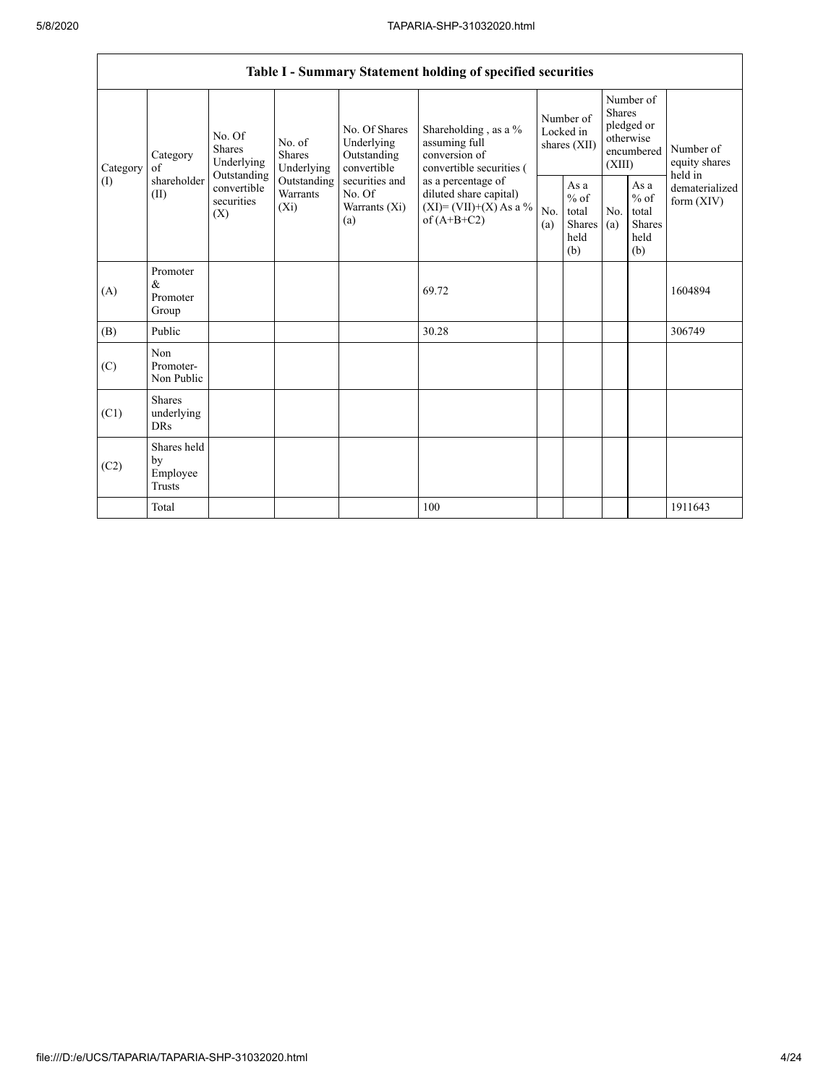|          |                                           |                                                 |                                    |                                                           | Table I - Summary Statement holding of specified securities                                |            |                                                  |                         |                                                         |                                       |
|----------|-------------------------------------------|-------------------------------------------------|------------------------------------|-----------------------------------------------------------|--------------------------------------------------------------------------------------------|------------|--------------------------------------------------|-------------------------|---------------------------------------------------------|---------------------------------------|
| Category | Category<br>of                            | No. Of<br>Shares<br>Underlying                  | No. of<br>Shares<br>Underlying     | No. Of Shares<br>Underlying<br>Outstanding<br>convertible | Shareholding, as a %<br>assuming full<br>conversion of<br>convertible securities (         |            | Number of<br>Locked in<br>shares (XII)           | <b>Shares</b><br>(XIII) | Number of<br>pledged or<br>otherwise<br>encumbered      | Number of<br>equity shares<br>held in |
| (I)      | shareholder<br>(II)                       | Outstanding<br>convertible<br>securities<br>(X) | Outstanding<br>Warrants<br>$(X_i)$ | securities and<br>No. Of<br>Warrants (Xi)<br>(a)          | as a percentage of<br>diluted share capital)<br>$(XI) = (VII)+(X) As a %$<br>of $(A+B+C2)$ | No.<br>(a) | As a<br>$%$ of<br>total<br>Shares<br>held<br>(b) | No.<br>(a)              | As a<br>$%$ of<br>total<br><b>Shares</b><br>held<br>(b) | dematerialized<br>form $(XIV)$        |
| (A)      | Promoter<br>&<br>Promoter<br>Group        |                                                 |                                    |                                                           | 69.72                                                                                      |            |                                                  |                         |                                                         | 1604894                               |
| (B)      | Public                                    |                                                 |                                    |                                                           | 30.28                                                                                      |            |                                                  |                         |                                                         | 306749                                |
| (C)      | Non<br>Promoter-<br>Non Public            |                                                 |                                    |                                                           |                                                                                            |            |                                                  |                         |                                                         |                                       |
| (C1)     | <b>Shares</b><br>underlying<br><b>DRs</b> |                                                 |                                    |                                                           |                                                                                            |            |                                                  |                         |                                                         |                                       |
| (C2)     | Shares held<br>by<br>Employee<br>Trusts   |                                                 |                                    |                                                           |                                                                                            |            |                                                  |                         |                                                         |                                       |
|          | Total                                     |                                                 |                                    |                                                           | 100                                                                                        |            |                                                  |                         |                                                         | 1911643                               |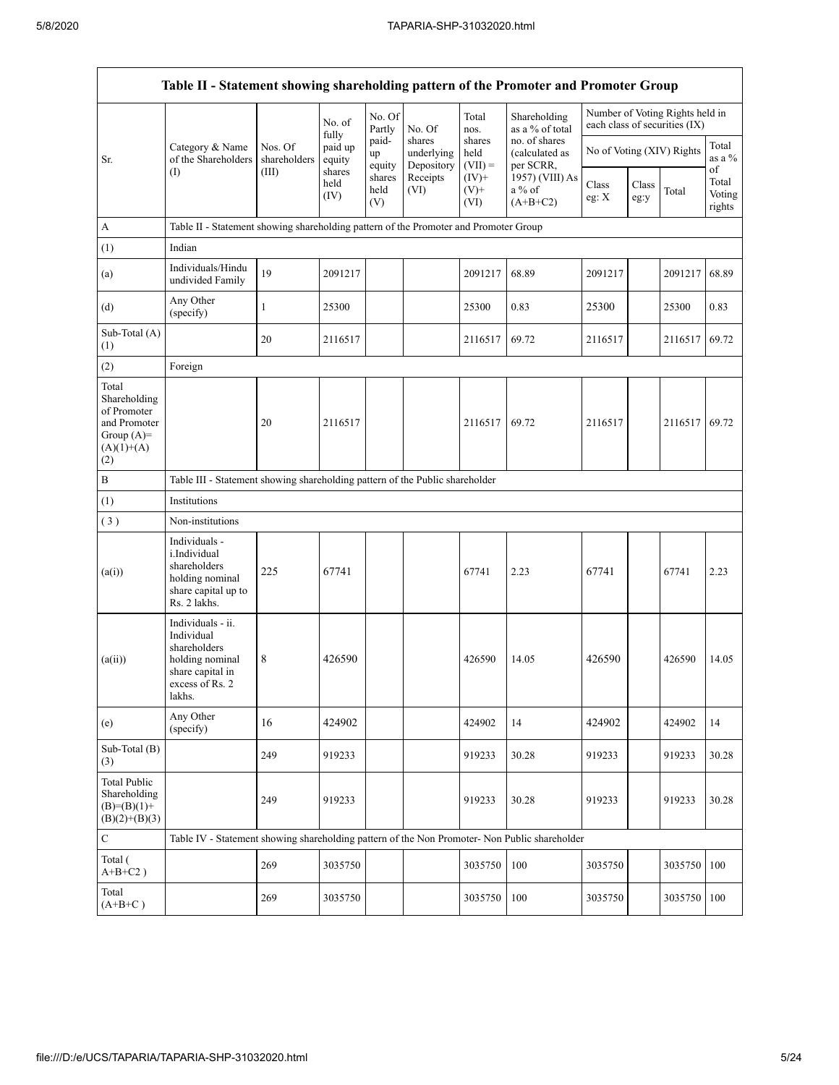Г

|                                                                                             | Table II - Statement showing shareholding pattern of the Promoter and Promoter Group                                |                         |                        |                       |                                    |                             |                                              |                           |               |                                                                  |                                 |  |
|---------------------------------------------------------------------------------------------|---------------------------------------------------------------------------------------------------------------------|-------------------------|------------------------|-----------------------|------------------------------------|-----------------------------|----------------------------------------------|---------------------------|---------------|------------------------------------------------------------------|---------------------------------|--|
|                                                                                             |                                                                                                                     |                         | No. of<br>fully        | No. Of<br>Partly      | No. Of                             | Total<br>nos.               | Shareholding<br>as a % of total              |                           |               | Number of Voting Rights held in<br>each class of securities (IX) |                                 |  |
| Sr.                                                                                         | Category & Name<br>of the Shareholders                                                                              | Nos. Of<br>shareholders | paid up<br>equity      | paid-<br>up<br>equity | shares<br>underlying<br>Depository | shares<br>held<br>$(VII) =$ | no. of shares<br>(calculated as<br>per SCRR, | No of Voting (XIV) Rights |               |                                                                  | Total<br>as a %                 |  |
|                                                                                             | (I)                                                                                                                 | (III)                   | shares<br>held<br>(IV) | shares<br>held<br>(V) | Receipts<br>(VI)                   | $(IV)+$<br>$(V)$ +<br>(VI)  | 1957) (VIII) As<br>$a\%$ of<br>$(A+B+C2)$    | Class<br>eg: X            | Class<br>eg:y | Total                                                            | of<br>Total<br>Voting<br>rights |  |
| A                                                                                           | Table II - Statement showing shareholding pattern of the Promoter and Promoter Group                                |                         |                        |                       |                                    |                             |                                              |                           |               |                                                                  |                                 |  |
| (1)                                                                                         | Indian                                                                                                              |                         |                        |                       |                                    |                             |                                              |                           |               |                                                                  |                                 |  |
| (a)                                                                                         | Individuals/Hindu<br>undivided Family                                                                               | 19                      | 2091217                |                       |                                    | 2091217                     | 68.89                                        | 2091217                   |               | 2091217                                                          | 68.89                           |  |
| (d)                                                                                         | Any Other<br>(specify)                                                                                              | 1                       | 25300                  |                       |                                    | 25300                       | 0.83                                         | 25300                     |               | 25300                                                            | 0.83                            |  |
| Sub-Total (A)<br>(1)                                                                        |                                                                                                                     | 20                      | 2116517                |                       |                                    | 2116517                     | 69.72                                        | 2116517                   |               | 2116517                                                          | 69.72                           |  |
| (2)                                                                                         | Foreign                                                                                                             |                         |                        |                       |                                    |                             |                                              |                           |               |                                                                  |                                 |  |
| Total<br>Shareholding<br>of Promoter<br>and Promoter<br>Group $(A)=$<br>$(A)(1)+(A)$<br>(2) |                                                                                                                     | 20                      | 2116517                |                       |                                    | 2116517                     | 69.72                                        | 2116517                   |               | 2116517                                                          | 69.72                           |  |
| $\, {\bf B}$                                                                                | Table III - Statement showing shareholding pattern of the Public shareholder                                        |                         |                        |                       |                                    |                             |                                              |                           |               |                                                                  |                                 |  |
| (1)                                                                                         | Institutions                                                                                                        |                         |                        |                       |                                    |                             |                                              |                           |               |                                                                  |                                 |  |
| (3)                                                                                         | Non-institutions                                                                                                    |                         |                        |                       |                                    |                             |                                              |                           |               |                                                                  |                                 |  |
| (a(i))                                                                                      | Individuals -<br>i.Individual<br>shareholders<br>holding nominal<br>share capital up to<br>Rs. 2 lakhs.             | 225                     | 67741                  |                       |                                    | 67741                       | 2.23                                         | 67741                     |               | 67741                                                            | 2.23                            |  |
| (a(ii))                                                                                     | Individuals - ii.<br>Individual<br>shareholders<br>holding nominal<br>share capital in<br>excess of Rs. 2<br>lakhs. | 8                       | 426590                 |                       |                                    | 426590                      | 14.05                                        | 426590                    |               | 426590                                                           | 14.05                           |  |
| (e)                                                                                         | Any Other<br>(specify)                                                                                              | 16                      | 424902                 |                       |                                    | 424902                      | 14                                           | 424902                    |               | 424902                                                           | 14                              |  |
| Sub-Total (B)<br>(3)                                                                        |                                                                                                                     | 249                     | 919233                 |                       |                                    | 919233                      | 30.28                                        | 919233                    |               | 919233                                                           | 30.28                           |  |
| <b>Total Public</b><br>Shareholding<br>$(B)=(B)(1)+$<br>$(B)(2)+(B)(3)$                     |                                                                                                                     | 249                     | 919233                 |                       |                                    | 919233                      | 30.28                                        | 919233                    |               | 919233                                                           | 30.28                           |  |
| $\mathbf C$                                                                                 | Table IV - Statement showing shareholding pattern of the Non Promoter- Non Public shareholder                       |                         |                        |                       |                                    |                             |                                              |                           |               |                                                                  |                                 |  |
| Total (<br>$A+B+C2$ )                                                                       |                                                                                                                     | 269                     | 3035750                |                       |                                    | 3035750                     | 100                                          | 3035750                   |               | 3035750                                                          | 100                             |  |
| Total<br>$(A+B+C)$                                                                          |                                                                                                                     | 269                     | 3035750                |                       |                                    | 3035750                     | 100                                          | 3035750                   |               | 3035750                                                          | 100                             |  |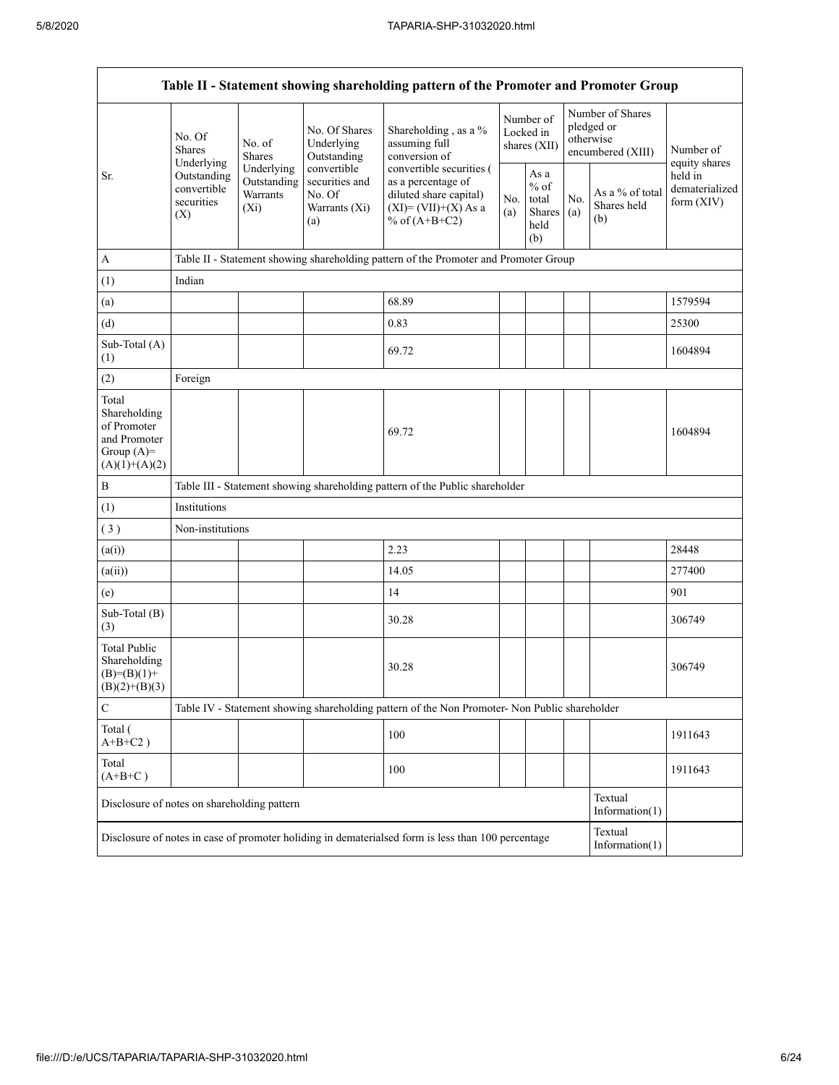|                                                                                         |                                                 |                                                  |                                                                 | Table II - Statement showing shareholding pattern of the Promoter and Promoter Group                                   |            |                                                   |            |                                                                  |                                         |  |  |  |  |
|-----------------------------------------------------------------------------------------|-------------------------------------------------|--------------------------------------------------|-----------------------------------------------------------------|------------------------------------------------------------------------------------------------------------------------|------------|---------------------------------------------------|------------|------------------------------------------------------------------|-----------------------------------------|--|--|--|--|
|                                                                                         | No. Of<br><b>Shares</b><br>Underlying           | No. of<br><b>Shares</b>                          | No. Of Shares<br>Underlying<br>Outstanding                      | Shareholding, as a %<br>assuming full<br>conversion of                                                                 |            | Number of<br>Locked in<br>shares $(XII)$          |            | Number of Shares<br>pledged or<br>otherwise<br>encumbered (XIII) | Number of<br>equity shares              |  |  |  |  |
| Sr.                                                                                     | Outstanding<br>convertible<br>securities<br>(X) | Underlying<br>Outstanding<br>Warrants<br>$(X_i)$ | convertible<br>securities and<br>No. Of<br>Warrants (Xi)<br>(a) | convertible securities (<br>as a percentage of<br>diluted share capital)<br>$(XI) = (VII)+(X) As a$<br>% of $(A+B+C2)$ | No.<br>(a) | As a<br>$\%$ of<br>total<br>Shares<br>held<br>(b) | No.<br>(a) | As a % of total<br>Shares held<br>(b)                            | held in<br>dematerialized<br>form (XIV) |  |  |  |  |
| $\mathbf{A}$                                                                            |                                                 |                                                  |                                                                 | Table II - Statement showing shareholding pattern of the Promoter and Promoter Group                                   |            |                                                   |            |                                                                  |                                         |  |  |  |  |
| (1)                                                                                     | Indian                                          |                                                  |                                                                 |                                                                                                                        |            |                                                   |            |                                                                  |                                         |  |  |  |  |
| (a)                                                                                     |                                                 |                                                  |                                                                 | 68.89                                                                                                                  |            |                                                   |            |                                                                  | 1579594                                 |  |  |  |  |
| (d)                                                                                     |                                                 |                                                  |                                                                 | 0.83                                                                                                                   |            |                                                   |            |                                                                  | 25300                                   |  |  |  |  |
| Sub-Total (A)<br>(1)                                                                    |                                                 |                                                  |                                                                 | 69.72                                                                                                                  |            |                                                   |            |                                                                  | 1604894                                 |  |  |  |  |
| (2)                                                                                     | Foreign                                         |                                                  |                                                                 |                                                                                                                        |            |                                                   |            |                                                                  |                                         |  |  |  |  |
| Total<br>Shareholding<br>of Promoter<br>and Promoter<br>Group $(A)=$<br>$(A)(1)+(A)(2)$ |                                                 |                                                  |                                                                 | 69.72                                                                                                                  |            |                                                   |            |                                                                  | 1604894                                 |  |  |  |  |
| $\, {\bf B}$                                                                            |                                                 |                                                  |                                                                 | Table III - Statement showing shareholding pattern of the Public shareholder                                           |            |                                                   |            |                                                                  |                                         |  |  |  |  |
| (1)                                                                                     | Institutions                                    |                                                  |                                                                 |                                                                                                                        |            |                                                   |            |                                                                  |                                         |  |  |  |  |
| (3)                                                                                     | Non-institutions                                |                                                  |                                                                 |                                                                                                                        |            |                                                   |            |                                                                  |                                         |  |  |  |  |
| (a(i))                                                                                  |                                                 |                                                  |                                                                 | 2.23                                                                                                                   |            |                                                   |            |                                                                  | 28448                                   |  |  |  |  |
| (a(ii))                                                                                 |                                                 |                                                  |                                                                 | 14.05                                                                                                                  |            |                                                   |            |                                                                  | 277400                                  |  |  |  |  |
| (e)                                                                                     |                                                 |                                                  |                                                                 | 14                                                                                                                     |            |                                                   |            |                                                                  | 901                                     |  |  |  |  |
| Sub-Total (B)<br>(3)                                                                    |                                                 |                                                  |                                                                 | 30.28                                                                                                                  |            |                                                   |            |                                                                  | 306749                                  |  |  |  |  |
| <b>Total Public</b><br>Shareholding<br>$(B)=(B)(1)+$<br>$(B)(2)+(B)(3)$                 |                                                 |                                                  |                                                                 | 30.28                                                                                                                  |            |                                                   |            |                                                                  | 306749                                  |  |  |  |  |
| $\mathbf C$                                                                             |                                                 |                                                  |                                                                 | Table IV - Statement showing shareholding pattern of the Non Promoter- Non Public shareholder                          |            |                                                   |            |                                                                  |                                         |  |  |  |  |
| Total (<br>$A+B+C2$ )                                                                   |                                                 |                                                  |                                                                 | 100                                                                                                                    |            |                                                   |            |                                                                  | 1911643                                 |  |  |  |  |
| Total<br>$(A+B+C)$                                                                      |                                                 |                                                  |                                                                 | 100                                                                                                                    |            |                                                   |            |                                                                  | 1911643                                 |  |  |  |  |
| Disclosure of notes on shareholding pattern                                             |                                                 |                                                  |                                                                 |                                                                                                                        |            |                                                   |            | Textual<br>Information(1)                                        |                                         |  |  |  |  |
|                                                                                         |                                                 |                                                  |                                                                 | Disclosure of notes in case of promoter holiding in dematerialsed form is less than 100 percentage                     |            |                                                   |            | Textual<br>Information $(1)$                                     |                                         |  |  |  |  |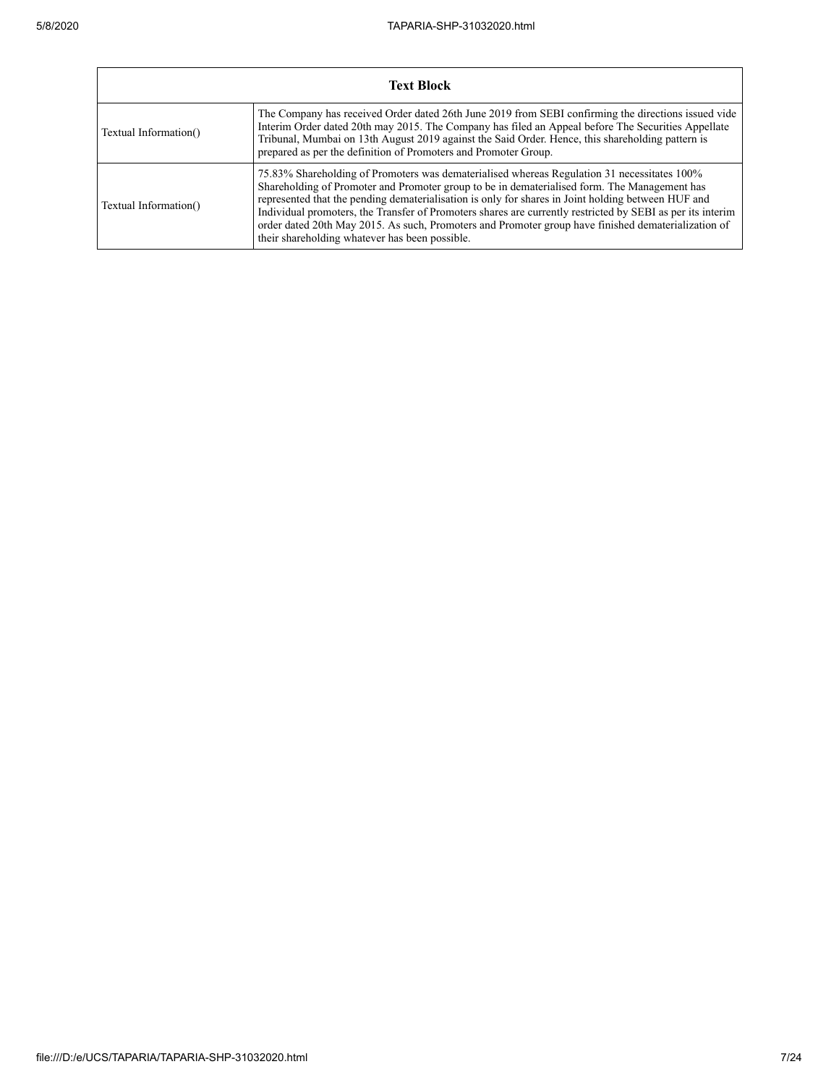|                       | <b>Text Block</b>                                                                                                                                                                                                                                                                                                                                                                                                                                                                                                                                                        |  |  |  |  |  |  |  |
|-----------------------|--------------------------------------------------------------------------------------------------------------------------------------------------------------------------------------------------------------------------------------------------------------------------------------------------------------------------------------------------------------------------------------------------------------------------------------------------------------------------------------------------------------------------------------------------------------------------|--|--|--|--|--|--|--|
| Textual Information() | The Company has received Order dated 26th June 2019 from SEBI confirming the directions issued vide<br>Interim Order dated 20th may 2015. The Company has filed an Appeal before The Securities Appellate<br>Tribunal, Mumbai on 13th August 2019 against the Said Order. Hence, this shareholding pattern is<br>prepared as per the definition of Promoters and Promoter Group.                                                                                                                                                                                         |  |  |  |  |  |  |  |
| Textual Information() | 75.83% Shareholding of Promoters was dematerialised whereas Regulation 31 necessitates 100%<br>Shareholding of Promoter and Promoter group to be in dematerialised form. The Management has<br>represented that the pending dematerialisation is only for shares in Joint holding between HUF and<br>Individual promoters, the Transfer of Promoters shares are currently restricted by SEBI as per its interim<br>order dated 20th May 2015. As such, Promoters and Promoter group have finished dematerialization of<br>their shareholding whatever has been possible. |  |  |  |  |  |  |  |

┑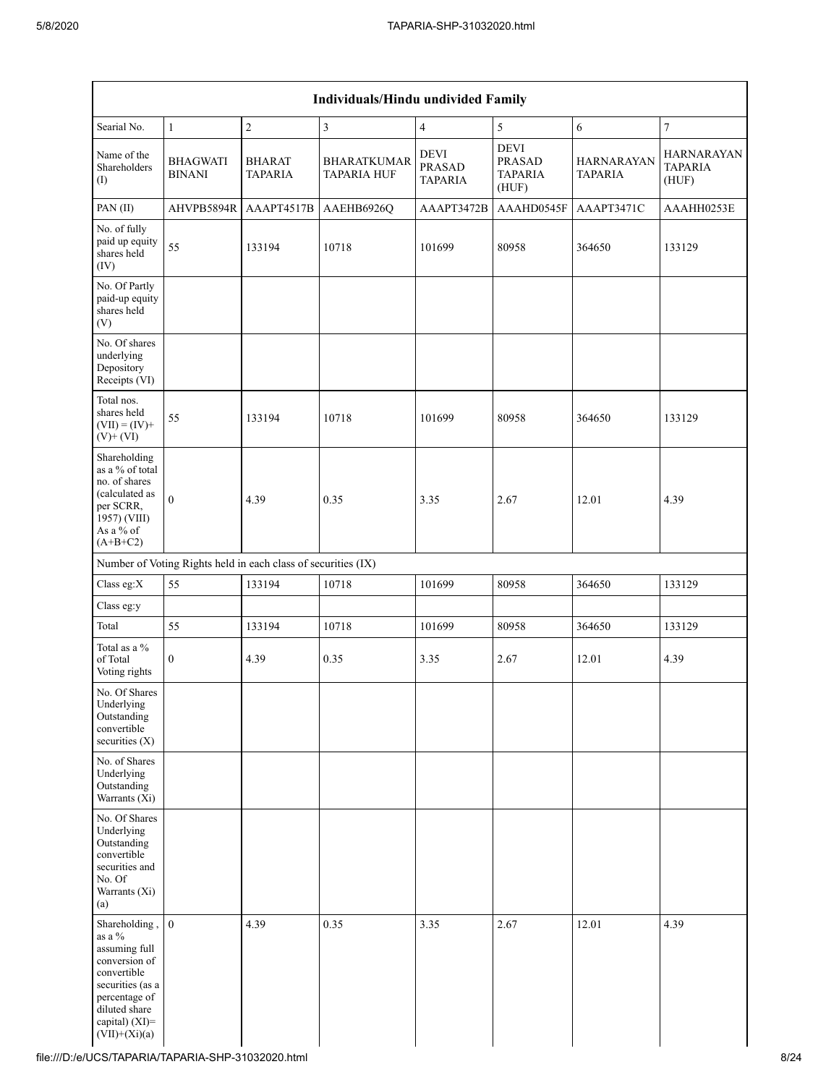|                                                                                                                                                                     |                                  |                                                               | <b>Individuals/Hindu undivided Family</b> |                                                |                                                         |                                     |                                              |
|---------------------------------------------------------------------------------------------------------------------------------------------------------------------|----------------------------------|---------------------------------------------------------------|-------------------------------------------|------------------------------------------------|---------------------------------------------------------|-------------------------------------|----------------------------------------------|
| Searial No.                                                                                                                                                         | $\mathbf{1}$                     | $\sqrt{2}$                                                    | $\overline{\mathbf{3}}$                   | $\overline{4}$                                 | 5                                                       | 6                                   | $\boldsymbol{7}$                             |
| Name of the<br>Shareholders<br>(I)                                                                                                                                  | <b>BHAGWATI</b><br><b>BINANI</b> | <b>BHARAT</b><br><b>TAPARIA</b>                               | BHARATKUMAR<br><b>TAPARIA HUF</b>         | <b>DEVI</b><br><b>PRASAD</b><br><b>TAPARIA</b> | <b>DEVI</b><br><b>PRASAD</b><br><b>TAPARIA</b><br>(HUF) | <b>HARNARAYAN</b><br><b>TAPARIA</b> | <b>HARNARAYAN</b><br><b>TAPARIA</b><br>(HUF) |
| PAN(II)                                                                                                                                                             | AHVPB5894R                       | AAAPT4517B                                                    | AAEHB6926Q                                | AAAPT3472B                                     | AAAHD0545F                                              | AAAPT3471C                          | AAAHH0253E                                   |
| No. of fully<br>paid up equity<br>shares held<br>(IV)                                                                                                               | 55                               | 133194                                                        | 10718                                     | 101699                                         | 80958                                                   | 364650                              | 133129                                       |
| No. Of Partly<br>paid-up equity<br>shares held<br>(V)                                                                                                               |                                  |                                                               |                                           |                                                |                                                         |                                     |                                              |
| No. Of shares<br>underlying<br>Depository<br>Receipts (VI)                                                                                                          |                                  |                                                               |                                           |                                                |                                                         |                                     |                                              |
| Total nos.<br>shares held<br>$(VII) = (IV) +$<br>$(V)$ + $(VI)$                                                                                                     | 55                               | 133194                                                        | 10718                                     | 101699                                         | 80958                                                   | 364650                              | 133129                                       |
| Shareholding<br>as a % of total<br>no. of shares<br>(calculated as<br>per SCRR,<br>1957) (VIII)<br>As a % of<br>$(A+B+C2)$                                          | $\theta$                         | 4.39                                                          | 0.35                                      | 3.35                                           | 2.67                                                    | 12.01                               | 4.39                                         |
|                                                                                                                                                                     |                                  | Number of Voting Rights held in each class of securities (IX) |                                           |                                                |                                                         |                                     |                                              |
| Class eg:X                                                                                                                                                          | 55                               | 133194                                                        | 10718                                     | 101699                                         | 80958                                                   | 364650                              | 133129                                       |
| Class eg:y                                                                                                                                                          |                                  |                                                               |                                           |                                                |                                                         |                                     |                                              |
| Total                                                                                                                                                               | 55                               | 133194                                                        | 10718                                     | 101699                                         | 80958                                                   | 364650                              | 133129                                       |
| Total as a %<br>of Total<br>Voting rights                                                                                                                           | $\boldsymbol{0}$                 | 4.39                                                          | 0.35                                      | 3.35                                           | 2.67                                                    | 12.01                               | 4.39                                         |
| No. Of Shares<br>Underlying<br>Outstanding<br>convertible<br>securities $(X)$                                                                                       |                                  |                                                               |                                           |                                                |                                                         |                                     |                                              |
| No. of Shares<br>Underlying<br>Outstanding<br>Warrants $(X_i)$                                                                                                      |                                  |                                                               |                                           |                                                |                                                         |                                     |                                              |
| No. Of Shares<br>Underlying<br>Outstanding<br>convertible<br>securities and<br>No. Of<br>Warrants (Xi)<br>(a)                                                       |                                  |                                                               |                                           |                                                |                                                         |                                     |                                              |
| Shareholding,<br>as a %<br>assuming full<br>conversion of<br>convertible<br>securities (as a<br>percentage of<br>diluted share<br>capital) (XI)=<br>$(VII)+(Xi)(a)$ | $\overline{0}$                   | 4.39                                                          | 0.35                                      | 3.35                                           | 2.67                                                    | 12.01                               | 4.39                                         |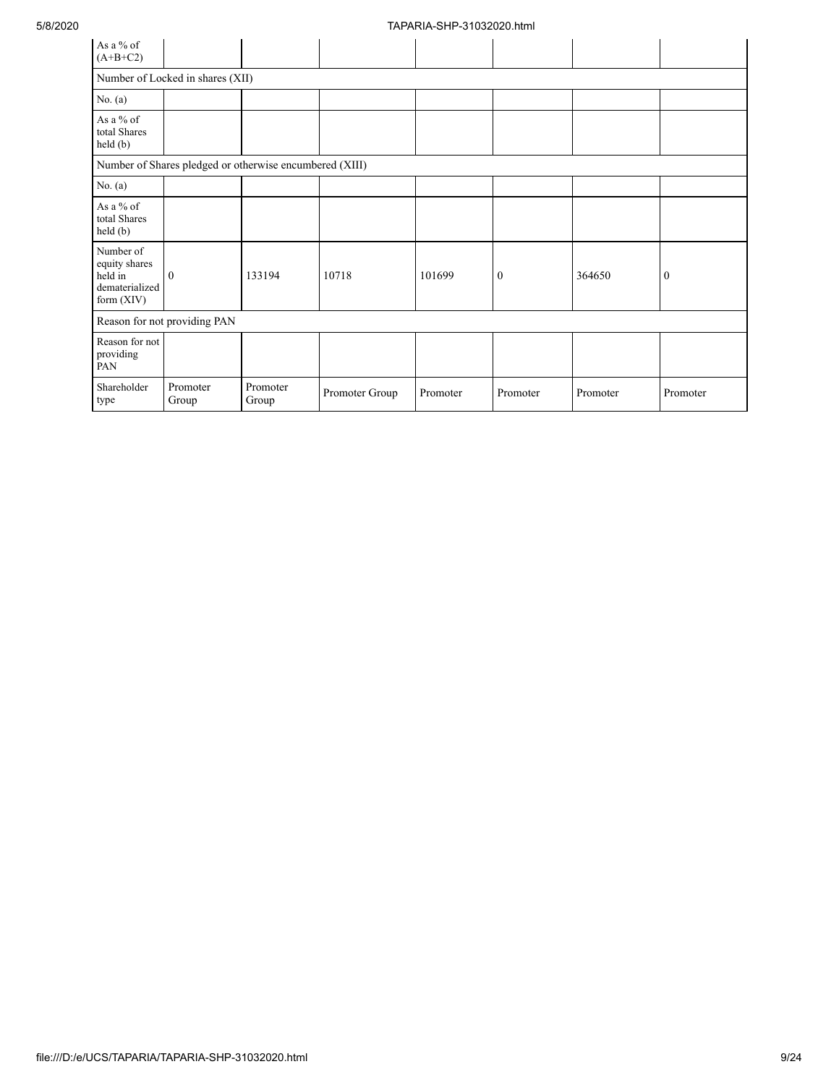| As a % of<br>$(A+B+C2)$                                                 |                                  |                                                         |                |          |                  |          |                  |
|-------------------------------------------------------------------------|----------------------------------|---------------------------------------------------------|----------------|----------|------------------|----------|------------------|
|                                                                         | Number of Locked in shares (XII) |                                                         |                |          |                  |          |                  |
| No. $(a)$                                                               |                                  |                                                         |                |          |                  |          |                  |
| As a % of<br>total Shares<br>$\text{held}(\text{b})$                    |                                  |                                                         |                |          |                  |          |                  |
|                                                                         |                                  | Number of Shares pledged or otherwise encumbered (XIII) |                |          |                  |          |                  |
| No. $(a)$                                                               |                                  |                                                         |                |          |                  |          |                  |
| As a % of<br>total Shares<br>held(b)                                    |                                  |                                                         |                |          |                  |          |                  |
| Number of<br>equity shares<br>held in<br>dematerialized<br>form $(XIV)$ | $\theta$                         | 133194                                                  | 10718          | 101699   | $\boldsymbol{0}$ | 364650   | $\boldsymbol{0}$ |
|                                                                         | Reason for not providing PAN     |                                                         |                |          |                  |          |                  |
| Reason for not<br>providing<br>PAN                                      |                                  |                                                         |                |          |                  |          |                  |
| Shareholder<br>type                                                     | Promoter<br>Group                | Promoter<br>Group                                       | Promoter Group | Promoter | Promoter         | Promoter | Promoter         |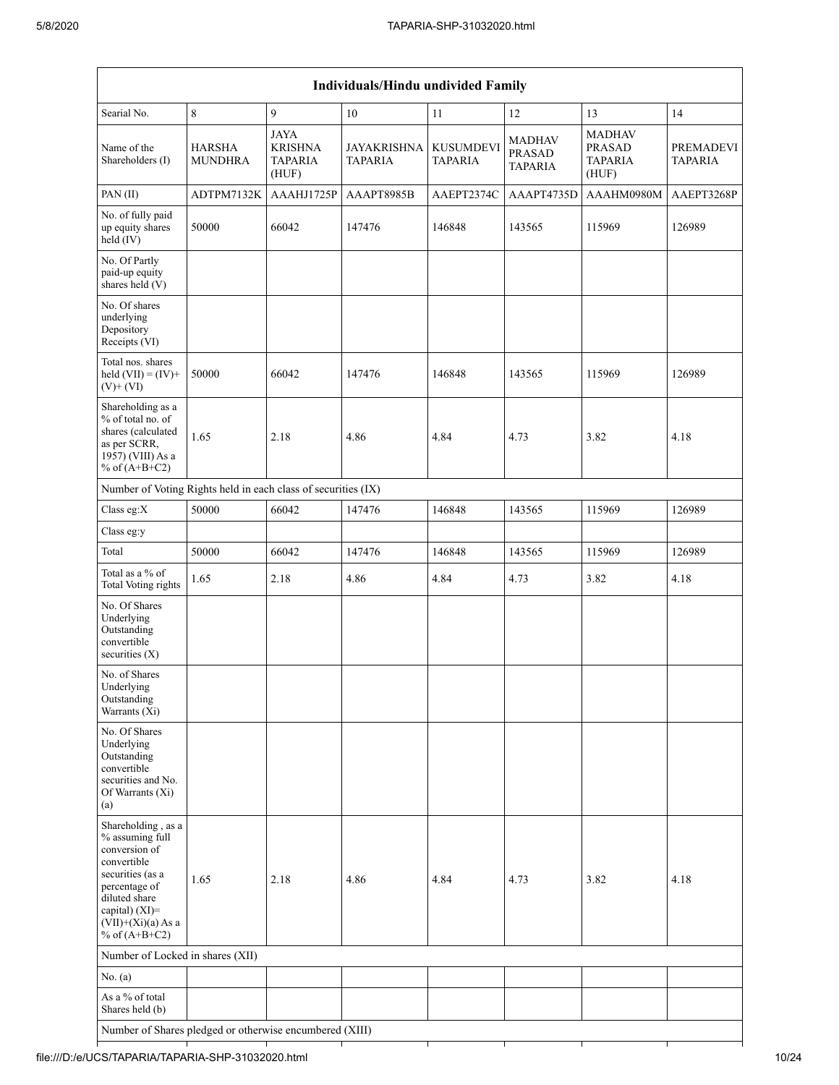| <b>Individuals/Hindu undivided Family</b>                                                                                                                                                   |                          |                                                          |                        |                                    |                             |                                                           |                      |  |  |  |  |
|---------------------------------------------------------------------------------------------------------------------------------------------------------------------------------------------|--------------------------|----------------------------------------------------------|------------------------|------------------------------------|-----------------------------|-----------------------------------------------------------|----------------------|--|--|--|--|
| Searial No.                                                                                                                                                                                 | 8                        | 9                                                        | $10\,$                 | 11                                 | 12                          | 13                                                        | 14                   |  |  |  |  |
| Name of the<br>Shareholders (I)                                                                                                                                                             | HARSHA<br><b>MUNDHRA</b> | <b>JAYA</b><br><b>KRISHNA</b><br><b>TAPARIA</b><br>(HUF) | JAYAKRISHNA<br>TAPARIA | <b>KUSUMDEVI</b><br><b>TAPARIA</b> | MADHAV<br>PRASAD<br>TAPARIA | <b>MADHAV</b><br><b>PRASAD</b><br><b>TAPARIA</b><br>(HUF) | PREMADEVI<br>TAPARIA |  |  |  |  |
| PAN(II)                                                                                                                                                                                     | ADTPM7132K               | AAAHJ1725P                                               | AAAPT8985B             | AAEPT2374C                         | AAAPT4735D                  | AAAHM0980M                                                | AAEPT3268P           |  |  |  |  |
| No. of fully paid<br>up equity shares<br>held (IV)                                                                                                                                          | 50000                    | 66042                                                    | 147476                 | 146848                             | 143565                      | 115969                                                    | 126989               |  |  |  |  |
| No. Of Partly<br>paid-up equity<br>shares held (V)                                                                                                                                          |                          |                                                          |                        |                                    |                             |                                                           |                      |  |  |  |  |
| No. Of shares<br>underlying<br>Depository<br>Receipts (VI)                                                                                                                                  |                          |                                                          |                        |                                    |                             |                                                           |                      |  |  |  |  |
| Total nos. shares<br>held $(VII) = (IV) +$<br>$(V)$ + $(VI)$                                                                                                                                | 50000                    | 66042                                                    | 147476                 | 146848                             | 143565                      | 115969                                                    | 126989               |  |  |  |  |
| Shareholding as a<br>% of total no. of<br>shares (calculated<br>as per SCRR,<br>1957) (VIII) As a<br>% of $(A+B+C2)$                                                                        | 1.65                     | 2.18                                                     | 4.86                   | 4.84                               | 4.73                        | 3.82                                                      | 4.18                 |  |  |  |  |
| Number of Voting Rights held in each class of securities (IX)                                                                                                                               |                          |                                                          |                        |                                    |                             |                                                           |                      |  |  |  |  |
| Class eg:X                                                                                                                                                                                  | 50000                    | 66042                                                    | 147476                 | 146848                             | 143565                      | 115969                                                    | 126989               |  |  |  |  |
| Class eg:y                                                                                                                                                                                  |                          |                                                          |                        |                                    |                             |                                                           |                      |  |  |  |  |
| Total                                                                                                                                                                                       | 50000                    | 66042                                                    | 147476                 | 146848                             | 143565                      | 115969                                                    | 126989               |  |  |  |  |
| Total as a % of<br><b>Total Voting rights</b>                                                                                                                                               | 1.65                     | 2.18                                                     | 4.86                   | 4.84                               | 4.73                        | 3.82                                                      | 4.18                 |  |  |  |  |
| No. Of Shares<br>Underlying<br>Outstanding<br>convertible<br>securities $(X)$                                                                                                               |                          |                                                          |                        |                                    |                             |                                                           |                      |  |  |  |  |
| No. of Shares<br>Underlying<br>Outstanding<br>Warrants (Xi)                                                                                                                                 |                          |                                                          |                        |                                    |                             |                                                           |                      |  |  |  |  |
| No. Of Shares<br>Underlying<br>Outstanding<br>convertible<br>securities and No.<br>Of Warrants (Xi)<br>(a)                                                                                  |                          |                                                          |                        |                                    |                             |                                                           |                      |  |  |  |  |
| Shareholding, as a<br>% assuming full<br>conversion of<br>convertible<br>securities (as a<br>percentage of<br>diluted share<br>capital) $(XI)$ =<br>$(VII)+(Xi)(a)$ As a<br>% of $(A+B+C2)$ | 1.65                     | 2.18                                                     | 4.86                   | 4.84                               | 4.73                        | 3.82                                                      | 4.18                 |  |  |  |  |
| Number of Locked in shares (XII)                                                                                                                                                            |                          |                                                          |                        |                                    |                             |                                                           |                      |  |  |  |  |
| No. (a)                                                                                                                                                                                     |                          |                                                          |                        |                                    |                             |                                                           |                      |  |  |  |  |
| As a % of total<br>Shares held (b)                                                                                                                                                          |                          |                                                          |                        |                                    |                             |                                                           |                      |  |  |  |  |
| Number of Shares pledged or otherwise encumbered (XIII)                                                                                                                                     |                          |                                                          |                        |                                    |                             |                                                           |                      |  |  |  |  |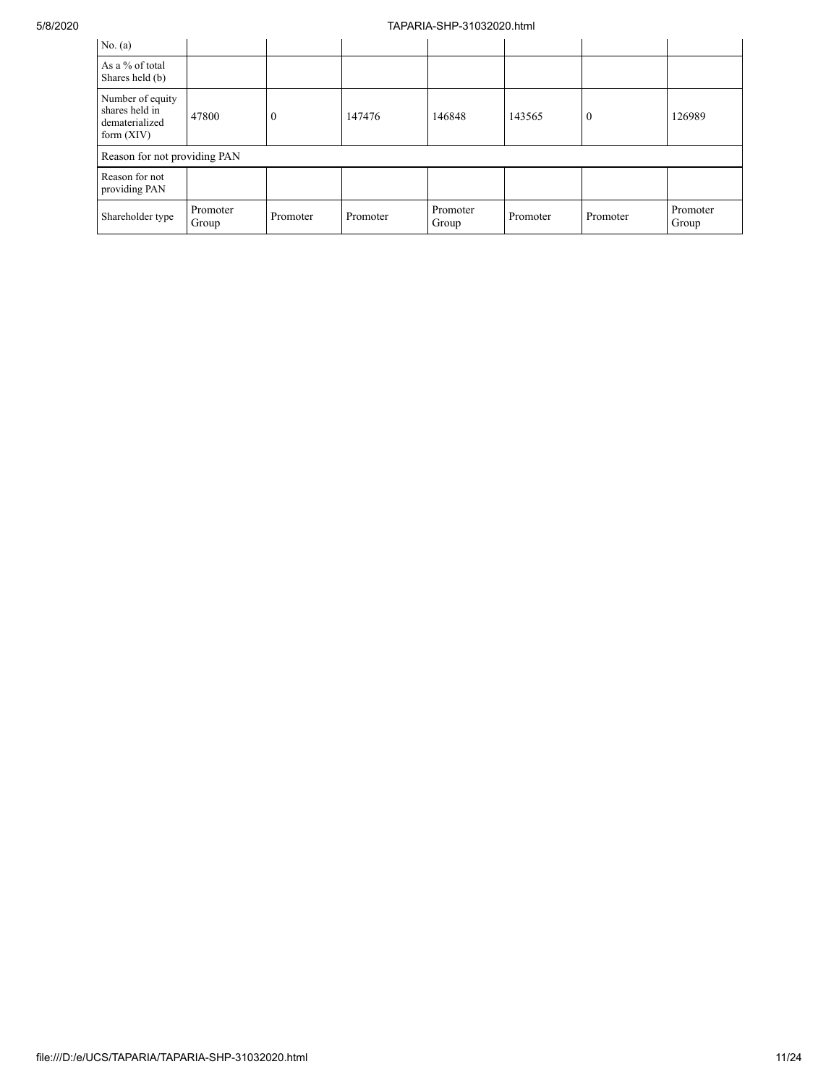| No. $(a)$                                                            |                   |          |          |                   |          |              |                   |
|----------------------------------------------------------------------|-------------------|----------|----------|-------------------|----------|--------------|-------------------|
| As a % of total<br>Shares held (b)                                   |                   |          |          |                   |          |              |                   |
| Number of equity<br>shares held in<br>dematerialized<br>form $(XIV)$ | 47800             | $\theta$ | 147476   | 146848            | 143565   | $\mathbf{0}$ | 126989            |
| Reason for not providing PAN                                         |                   |          |          |                   |          |              |                   |
| Reason for not<br>providing PAN                                      |                   |          |          |                   |          |              |                   |
| Shareholder type                                                     | Promoter<br>Group | Promoter | Promoter | Promoter<br>Group | Promoter | Promoter     | Promoter<br>Group |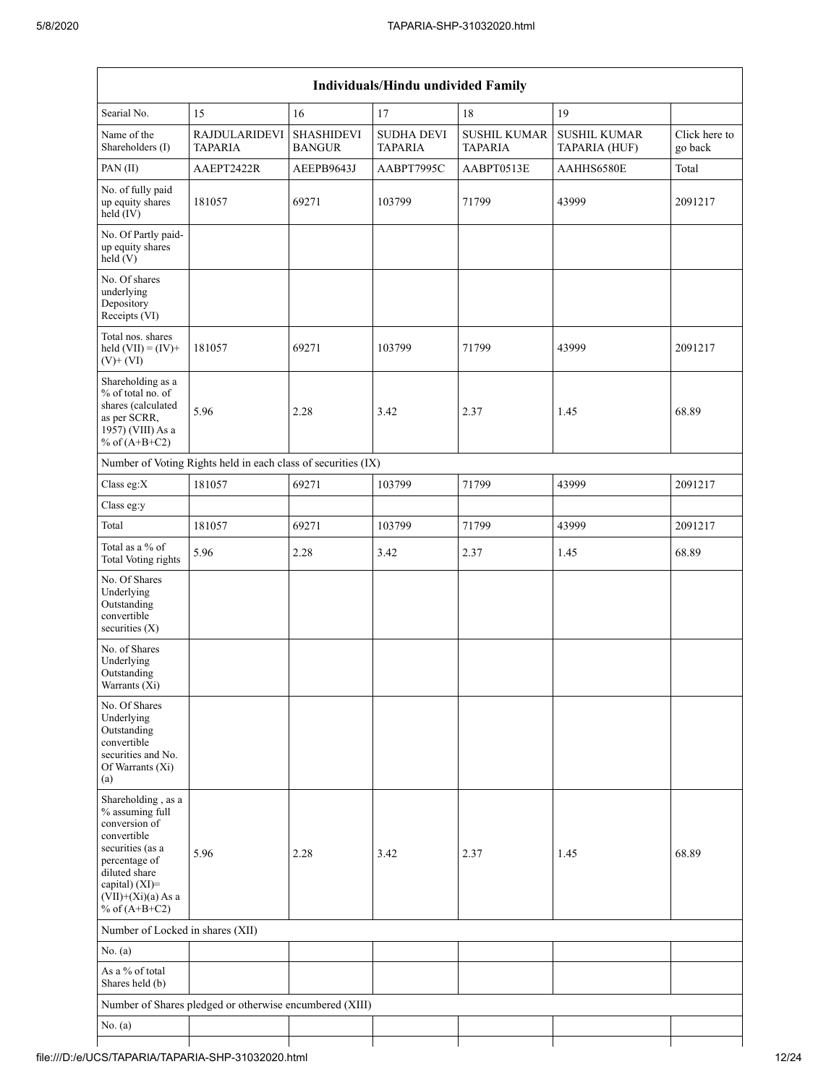|                                                                                                                                                                                             |                                                               |                                    | Individuals/Hindu undivided Family  |                                       |                                      |                          |
|---------------------------------------------------------------------------------------------------------------------------------------------------------------------------------------------|---------------------------------------------------------------|------------------------------------|-------------------------------------|---------------------------------------|--------------------------------------|--------------------------|
| Searial No.                                                                                                                                                                                 | 15                                                            | 16                                 | 17                                  | 18                                    | 19                                   |                          |
| Name of the<br>Shareholders (I)                                                                                                                                                             | <b>RAJDULARIDEVI</b><br><b>TAPARIA</b>                        | <b>SHASHIDEVI</b><br><b>BANGUR</b> | <b>SUDHA DEVI</b><br><b>TAPARIA</b> | <b>SUSHIL KUMAR</b><br><b>TAPARIA</b> | <b>SUSHIL KUMAR</b><br>TAPARIA (HUF) | Click here to<br>go back |
| PAN(II)                                                                                                                                                                                     | AAEPT2422R                                                    | AEEPB9643J                         | AABPT7995C                          | AABPT0513E                            | AAHHS6580E                           | Total                    |
| No. of fully paid<br>up equity shares<br>held (IV)                                                                                                                                          | 181057                                                        | 69271                              | 103799                              | 71799                                 | 43999                                | 2091217                  |
| No. Of Partly paid-<br>up equity shares<br>held(V)                                                                                                                                          |                                                               |                                    |                                     |                                       |                                      |                          |
| No. Of shares<br>underlying<br>Depository<br>Receipts (VI)                                                                                                                                  |                                                               |                                    |                                     |                                       |                                      |                          |
| Total nos. shares<br>held $(VII) = (IV) +$<br>$(V)$ + $(VI)$                                                                                                                                | 181057                                                        | 69271                              | 103799                              | 71799                                 | 43999                                | 2091217                  |
| Shareholding as a<br>% of total no. of<br>shares (calculated<br>as per SCRR,<br>1957) (VIII) As a<br>% of $(A+B+C2)$                                                                        | 5.96                                                          | 2.28                               | 3.42                                | 2.37                                  | 1.45                                 | 68.89                    |
|                                                                                                                                                                                             | Number of Voting Rights held in each class of securities (IX) |                                    |                                     |                                       |                                      |                          |
| Class eg:X                                                                                                                                                                                  | 181057                                                        | 69271                              | 103799                              | 71799                                 | 43999                                | 2091217                  |
| Class eg:y                                                                                                                                                                                  |                                                               |                                    |                                     |                                       |                                      |                          |
| Total                                                                                                                                                                                       | 181057                                                        | 69271                              | 103799                              | 71799                                 | 43999                                | 2091217                  |
| Total as a % of<br><b>Total Voting rights</b>                                                                                                                                               | 5.96                                                          | 2.28                               | 3.42                                | 2.37                                  | 1.45                                 | 68.89                    |
| No. Of Shares<br>Underlying<br>Outstanding<br>convertible<br>securities $(X)$                                                                                                               |                                                               |                                    |                                     |                                       |                                      |                          |
| No. of Shares<br>Underlying<br>Outstanding<br>Warrants (X1)                                                                                                                                 |                                                               |                                    |                                     |                                       |                                      |                          |
| No. Of Shares<br>Underlying<br>Outstanding<br>convertible<br>securities and No.<br>Of Warrants (Xi)<br>(a)                                                                                  |                                                               |                                    |                                     |                                       |                                      |                          |
| Shareholding, as a<br>% assuming full<br>conversion of<br>convertible<br>securities (as a<br>percentage of<br>diluted share<br>capital) $(XI)$ =<br>$(VII)+(Xi)(a)$ As a<br>% of $(A+B+C2)$ | 5.96                                                          | 2.28                               | 3.42                                | 2.37                                  | 1.45                                 | 68.89                    |
| Number of Locked in shares (XII)                                                                                                                                                            |                                                               |                                    |                                     |                                       |                                      |                          |
| No. (a)                                                                                                                                                                                     |                                                               |                                    |                                     |                                       |                                      |                          |
| As a % of total<br>Shares held (b)                                                                                                                                                          |                                                               |                                    |                                     |                                       |                                      |                          |
|                                                                                                                                                                                             | Number of Shares pledged or otherwise encumbered (XIII)       |                                    |                                     |                                       |                                      |                          |
| No. (a)                                                                                                                                                                                     |                                                               |                                    |                                     |                                       |                                      |                          |
|                                                                                                                                                                                             |                                                               |                                    |                                     |                                       |                                      |                          |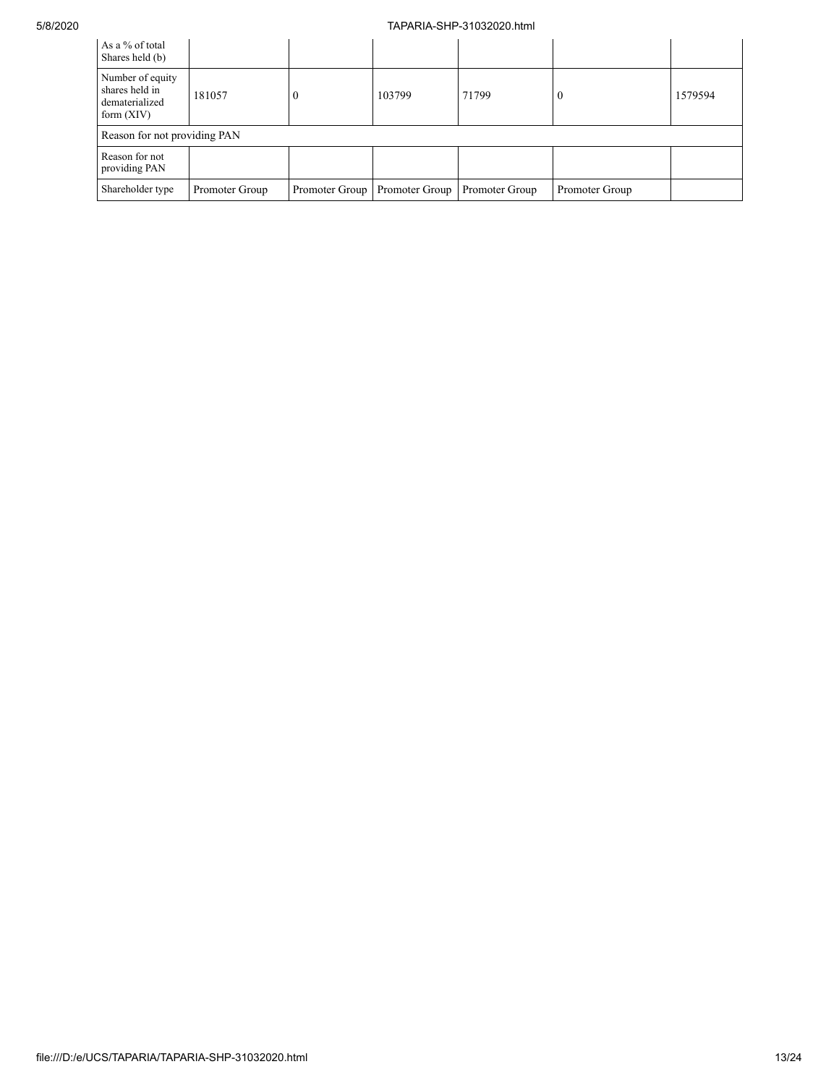| As a % of total<br>Shares held (b)                                   |                |                |                |                |                |         |
|----------------------------------------------------------------------|----------------|----------------|----------------|----------------|----------------|---------|
| Number of equity<br>shares held in<br>dematerialized<br>form $(XIV)$ | 181057         |                | 103799         | 71799          | U              | 1579594 |
| Reason for not providing PAN                                         |                |                |                |                |                |         |
| Reason for not<br>providing PAN                                      |                |                |                |                |                |         |
| Shareholder type                                                     | Promoter Group | Promoter Group | Promoter Group | Promoter Group | Promoter Group |         |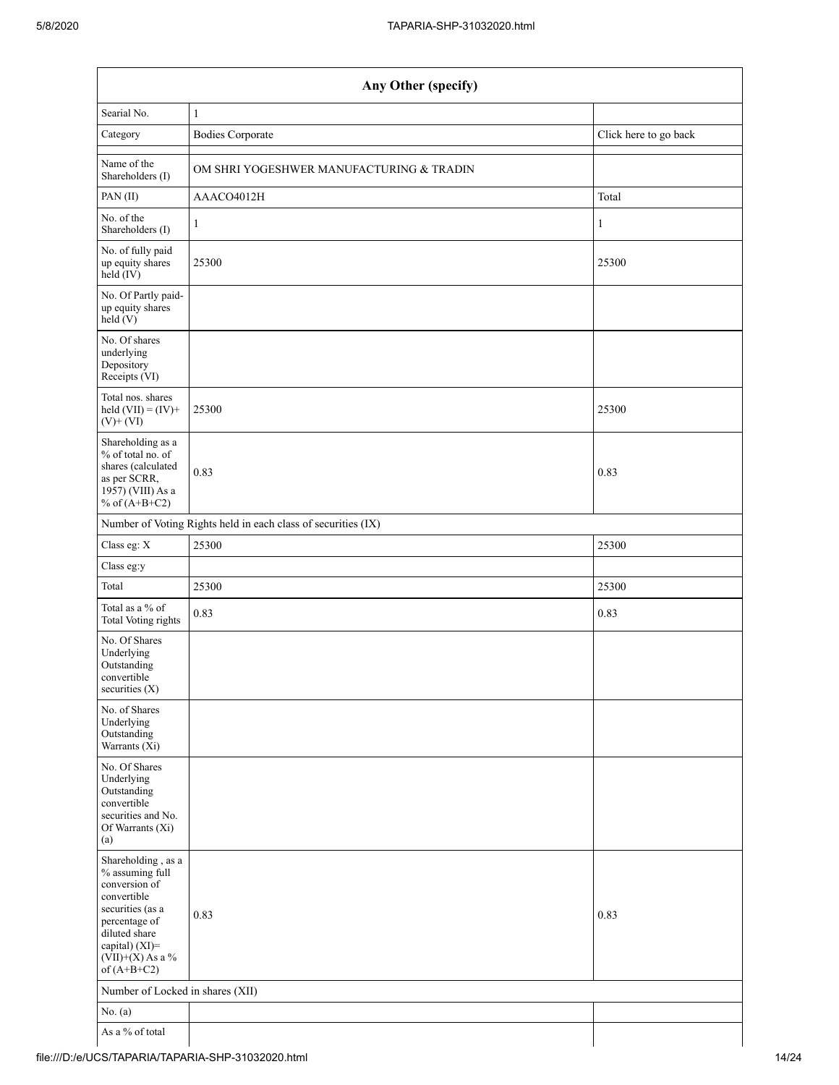| Any Other (specify)                                                                                                                                                                  |                                                               |                       |  |  |  |  |  |
|--------------------------------------------------------------------------------------------------------------------------------------------------------------------------------------|---------------------------------------------------------------|-----------------------|--|--|--|--|--|
| Searial No.                                                                                                                                                                          | $\mathbf{1}$                                                  |                       |  |  |  |  |  |
| Category                                                                                                                                                                             | <b>Bodies Corporate</b>                                       | Click here to go back |  |  |  |  |  |
| Name of the<br>Shareholders (I)                                                                                                                                                      | OM SHRI YOGESHWER MANUFACTURING & TRADIN                      |                       |  |  |  |  |  |
| PAN(II)                                                                                                                                                                              | AAACO4012H                                                    | Total                 |  |  |  |  |  |
| No. of the<br>Shareholders (I)                                                                                                                                                       | $\mathbf{1}$                                                  | $\mathbf{1}$          |  |  |  |  |  |
| No. of fully paid<br>up equity shares<br>$held$ (IV)                                                                                                                                 | 25300                                                         | 25300                 |  |  |  |  |  |
| No. Of Partly paid-<br>up equity shares<br>held(V)                                                                                                                                   |                                                               |                       |  |  |  |  |  |
| No. Of shares<br>underlying<br>Depository<br>Receipts (VI)                                                                                                                           |                                                               |                       |  |  |  |  |  |
| Total nos. shares<br>held $(VII) = (IV) +$<br>$(V)$ + $(VI)$                                                                                                                         | 25300                                                         | 25300                 |  |  |  |  |  |
| Shareholding as a<br>% of total no. of<br>shares (calculated<br>as per SCRR,<br>1957) (VIII) As a<br>% of $(A+B+C2)$                                                                 | 0.83                                                          | 0.83                  |  |  |  |  |  |
|                                                                                                                                                                                      | Number of Voting Rights held in each class of securities (IX) |                       |  |  |  |  |  |
| Class eg: X                                                                                                                                                                          | 25300                                                         | 25300                 |  |  |  |  |  |
| Class eg:y                                                                                                                                                                           |                                                               |                       |  |  |  |  |  |
| Total                                                                                                                                                                                | 25300                                                         | 25300                 |  |  |  |  |  |
| Total as a % of<br>Total Voting rights                                                                                                                                               | 0.83                                                          | 0.83                  |  |  |  |  |  |
| No. Of Shares<br>Underlying<br>Outstanding<br>convertible<br>securities $(X)$                                                                                                        |                                                               |                       |  |  |  |  |  |
| No. of Shares<br>Underlying<br>Outstanding<br>Warrants (Xi)                                                                                                                          |                                                               |                       |  |  |  |  |  |
| No. Of Shares<br>Underlying<br>Outstanding<br>convertible<br>securities and No.<br>Of Warrants (Xi)<br>(a)                                                                           |                                                               |                       |  |  |  |  |  |
| Shareholding, as a<br>% assuming full<br>conversion of<br>convertible<br>securities (as a<br>percentage of<br>diluted share<br>capital) (XI)=<br>$(VII)+(X)$ As a %<br>of $(A+B+C2)$ | 0.83                                                          | 0.83                  |  |  |  |  |  |
| Number of Locked in shares (XII)                                                                                                                                                     |                                                               |                       |  |  |  |  |  |
| No. $(a)$                                                                                                                                                                            |                                                               |                       |  |  |  |  |  |
| As a % of total                                                                                                                                                                      |                                                               |                       |  |  |  |  |  |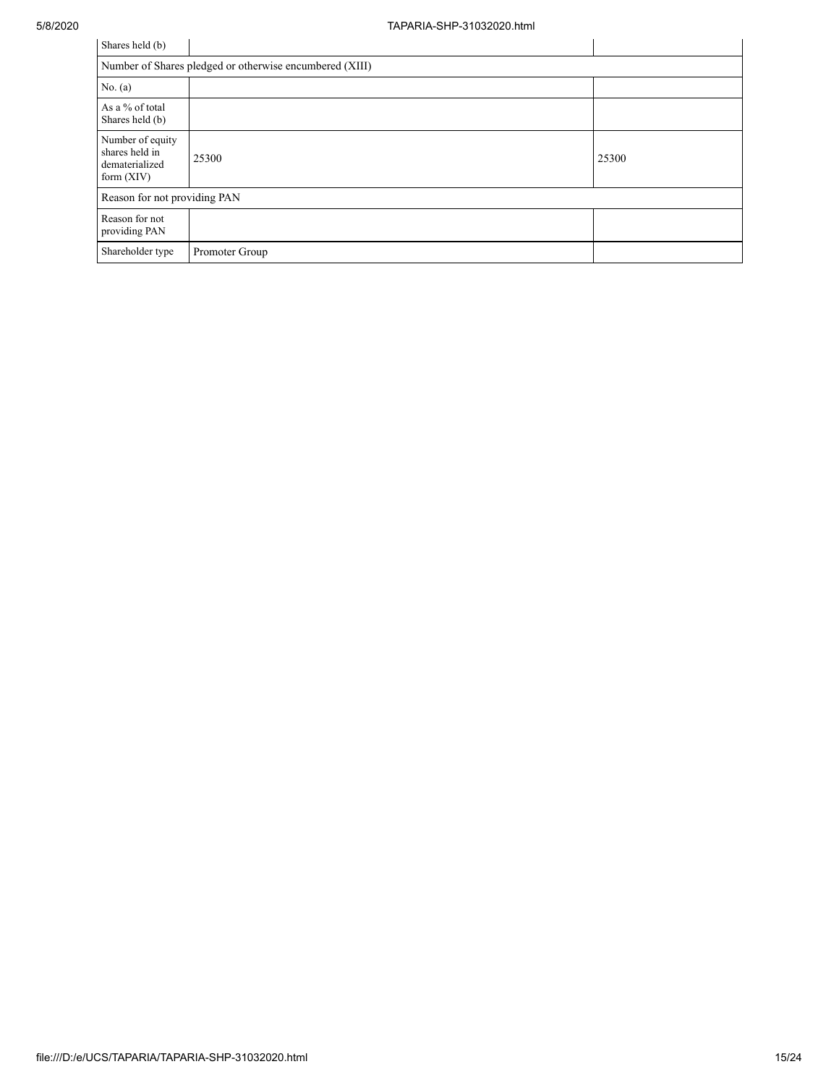| Shares held (b)                                                      |                |       |  |  |  |  |
|----------------------------------------------------------------------|----------------|-------|--|--|--|--|
| Number of Shares pledged or otherwise encumbered (XIII)              |                |       |  |  |  |  |
| No. $(a)$                                                            |                |       |  |  |  |  |
| As a % of total<br>Shares held (b)                                   |                |       |  |  |  |  |
| Number of equity<br>shares held in<br>dematerialized<br>form $(XIV)$ | 25300          | 25300 |  |  |  |  |
| Reason for not providing PAN                                         |                |       |  |  |  |  |
| Reason for not<br>providing PAN                                      |                |       |  |  |  |  |
| Shareholder type                                                     | Promoter Group |       |  |  |  |  |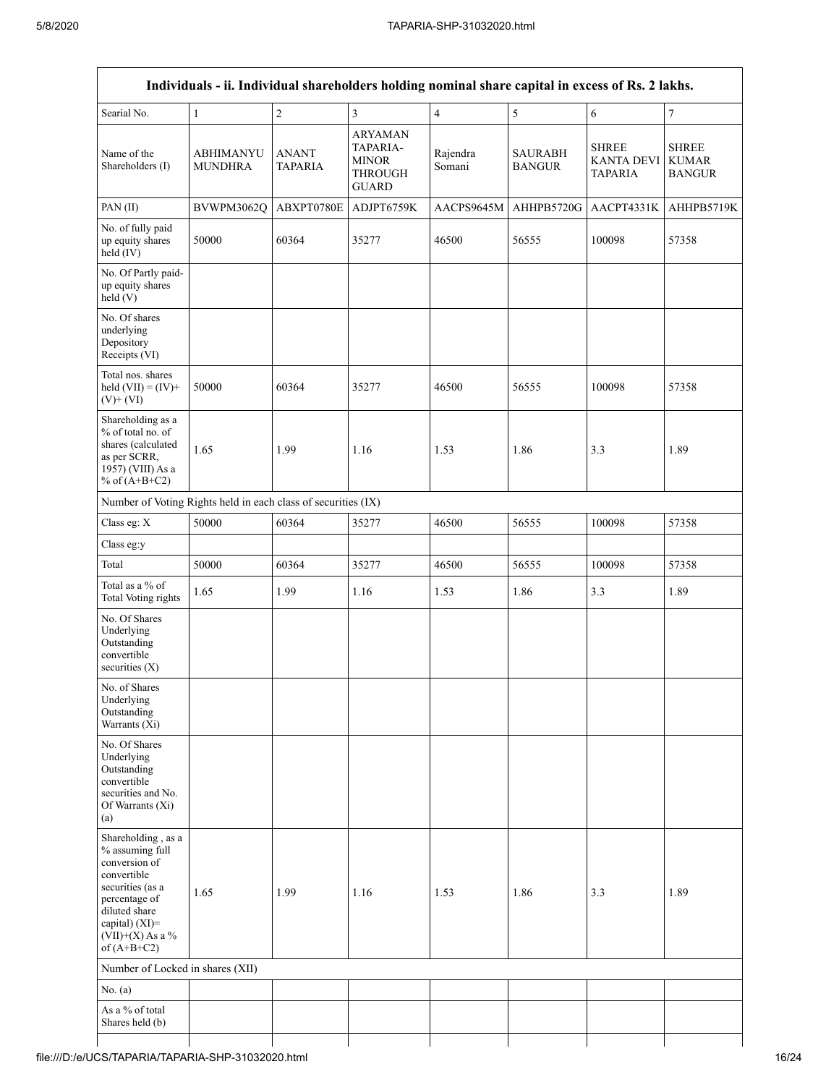| Searial No.                                                                                                                                                                             | $\mathbf{1}$                       | $\overline{c}$          | $\mathfrak{Z}$                                                               | $\overline{4}$     | 5                               | 6                                                   | $\boldsymbol{7}$                              |
|-----------------------------------------------------------------------------------------------------------------------------------------------------------------------------------------|------------------------------------|-------------------------|------------------------------------------------------------------------------|--------------------|---------------------------------|-----------------------------------------------------|-----------------------------------------------|
| Name of the<br>Shareholders (I)                                                                                                                                                         | <b>ABHIMANYU</b><br><b>MUNDHRA</b> | <b>ANANT</b><br>TAPARIA | <b>ARYAMAN</b><br>TAPARIA-<br><b>MINOR</b><br><b>THROUGH</b><br><b>GUARD</b> | Rajendra<br>Somani | <b>SAURABH</b><br><b>BANGUR</b> | <b>SHREE</b><br><b>KANTA DEVI</b><br><b>TAPARIA</b> | <b>SHREE</b><br><b>KUMAR</b><br><b>BANGUR</b> |
| PAN(II)                                                                                                                                                                                 | BVWPM3062Q                         | ABXPT0780E              | ADJPT6759K                                                                   | AACPS9645M         | AHHPB5720G                      | AACPT4331K                                          | AHHPB5719K                                    |
| No. of fully paid<br>up equity shares<br>held (IV)                                                                                                                                      | 50000                              | 60364                   | 35277                                                                        | 46500              | 56555                           | 100098                                              | 57358                                         |
| No. Of Partly paid-<br>up equity shares<br>held(V)                                                                                                                                      |                                    |                         |                                                                              |                    |                                 |                                                     |                                               |
| No. Of shares<br>underlying<br>Depository<br>Receipts (VI)                                                                                                                              |                                    |                         |                                                                              |                    |                                 |                                                     |                                               |
| Total nos. shares<br>held $(VII) = (IV) +$<br>$(V)$ + $(VI)$                                                                                                                            | 50000                              | 60364                   | 35277                                                                        | 46500              | 56555                           | 100098                                              | 57358                                         |
| Shareholding as a<br>% of total no. of<br>shares (calculated<br>as per SCRR,<br>1957) (VIII) As a<br>% of $(A+B+C2)$                                                                    | 1.65                               | 1.99                    | 1.16                                                                         | 1.53               | 1.86                            | 3.3                                                 | 1.89                                          |
| Number of Voting Rights held in each class of securities (IX)                                                                                                                           |                                    |                         |                                                                              |                    |                                 |                                                     |                                               |
| Class eg: X                                                                                                                                                                             | 50000                              | 60364                   | 35277                                                                        | 46500              | 56555                           | 100098                                              | 57358                                         |
| Class eg:y                                                                                                                                                                              |                                    |                         |                                                                              |                    |                                 |                                                     |                                               |
| Total                                                                                                                                                                                   | 50000                              | 60364                   | 35277                                                                        | 46500              | 56555                           | 100098                                              | 57358                                         |
| Total as a % of<br><b>Total Voting rights</b>                                                                                                                                           | 1.65                               | 1.99                    | 1.16                                                                         | 1.53               | 1.86                            | 3.3                                                 | 1.89                                          |
| No. Of Shares<br>Underlying<br>Outstanding<br>convertible<br>securities $(X)$                                                                                                           |                                    |                         |                                                                              |                    |                                 |                                                     |                                               |
| No. of Shares<br>Underlying<br>Outstanding<br>Warrants (Xi)                                                                                                                             |                                    |                         |                                                                              |                    |                                 |                                                     |                                               |
| No. Of Shares<br>Underlying<br>Outstanding<br>convertible<br>securities and No.<br>Of Warrants (Xi)<br>(a)                                                                              |                                    |                         |                                                                              |                    |                                 |                                                     |                                               |
| Shareholding, as a<br>% assuming full<br>conversion of<br>convertible<br>securities (as a<br>percentage of<br>diluted share<br>capital) $(XI)$ =<br>$(VII)+(X)$ As a %<br>of $(A+B+C2)$ | 1.65                               | 1.99                    | 1.16                                                                         | 1.53               | 1.86                            | 3.3                                                 | 1.89                                          |
| Number of Locked in shares (XII)                                                                                                                                                        |                                    |                         |                                                                              |                    |                                 |                                                     |                                               |
| No. $(a)$                                                                                                                                                                               |                                    |                         |                                                                              |                    |                                 |                                                     |                                               |
| As a % of total<br>Shares held (b)                                                                                                                                                      |                                    |                         |                                                                              |                    |                                 |                                                     |                                               |
|                                                                                                                                                                                         |                                    |                         |                                                                              |                    |                                 |                                                     |                                               |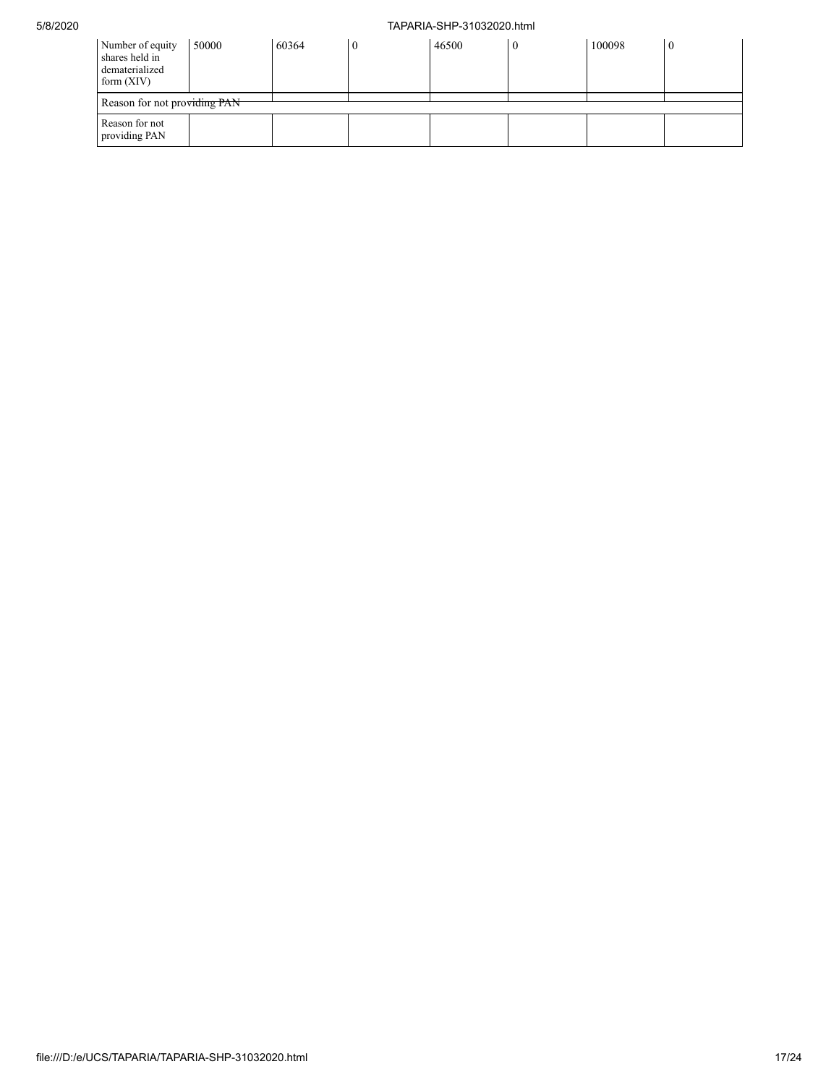| Number of equity<br>shares held in<br>dematerialized<br>form $(XIV)$ | 50000 | 60364 |  | 46500 | $\left($ | 100098 |  |
|----------------------------------------------------------------------|-------|-------|--|-------|----------|--------|--|
| Reason for not providing PAN                                         |       |       |  |       |          |        |  |
| Reason for not<br>providing PAN                                      |       |       |  |       |          |        |  |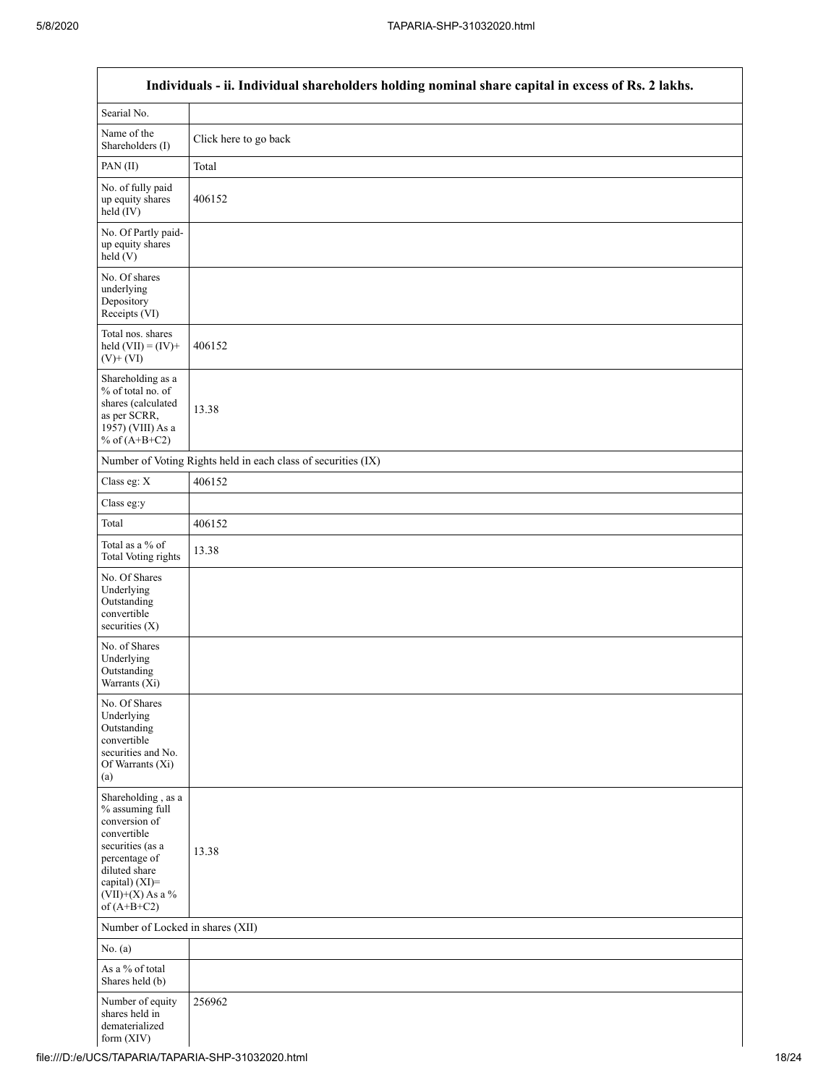$\mathsf{l}$ 

|                                                                                                                                                                                      | Individuals - ii. Individual shareholders holding nominal share capital in excess of Rs. 2 lakhs. |
|--------------------------------------------------------------------------------------------------------------------------------------------------------------------------------------|---------------------------------------------------------------------------------------------------|
| Searial No.                                                                                                                                                                          |                                                                                                   |
| Name of the<br>Shareholders (I)                                                                                                                                                      | Click here to go back                                                                             |
| PAN (II)                                                                                                                                                                             | Total                                                                                             |
| No. of fully paid<br>up equity shares<br>held (IV)                                                                                                                                   | 406152                                                                                            |
| No. Of Partly paid-<br>up equity shares<br>held(V)                                                                                                                                   |                                                                                                   |
| No. Of shares<br>underlying<br>Depository<br>Receipts (VI)                                                                                                                           |                                                                                                   |
| Total nos. shares<br>held $(VII) = (IV) +$<br>$(V)$ + $(VI)$                                                                                                                         | 406152                                                                                            |
| Shareholding as a<br>% of total no. of<br>shares (calculated<br>as per SCRR,<br>1957) (VIII) As a<br>% of $(A+B+C2)$                                                                 | 13.38                                                                                             |
|                                                                                                                                                                                      | Number of Voting Rights held in each class of securities (IX)                                     |
| Class eg: X                                                                                                                                                                          | 406152                                                                                            |
| Class eg:y                                                                                                                                                                           |                                                                                                   |
| Total                                                                                                                                                                                | 406152                                                                                            |
| Total as a % of<br>Total Voting rights                                                                                                                                               | 13.38                                                                                             |
| No. Of Shares<br>Underlying<br>Outstanding<br>convertible<br>securities $(X)$                                                                                                        |                                                                                                   |
| No. of Shares<br>Underlying<br>Outstanding<br>Warrants (Xi)                                                                                                                          |                                                                                                   |
| No. Of Shares<br>Underlying<br>Outstanding<br>convertible<br>securities and No.<br>Of Warrants (Xi)<br>(a)                                                                           |                                                                                                   |
| Shareholding, as a<br>% assuming full<br>conversion of<br>convertible<br>securities (as a<br>percentage of<br>diluted share<br>capital) (XI)=<br>$(VII)+(X)$ As a %<br>of $(A+B+C2)$ | 13.38                                                                                             |
| Number of Locked in shares (XII)                                                                                                                                                     |                                                                                                   |
| No. $(a)$                                                                                                                                                                            |                                                                                                   |
| As a % of total<br>Shares held (b)                                                                                                                                                   |                                                                                                   |
| Number of equity<br>shares held in<br>dematerialized<br>form $(XIV)$                                                                                                                 | 256962                                                                                            |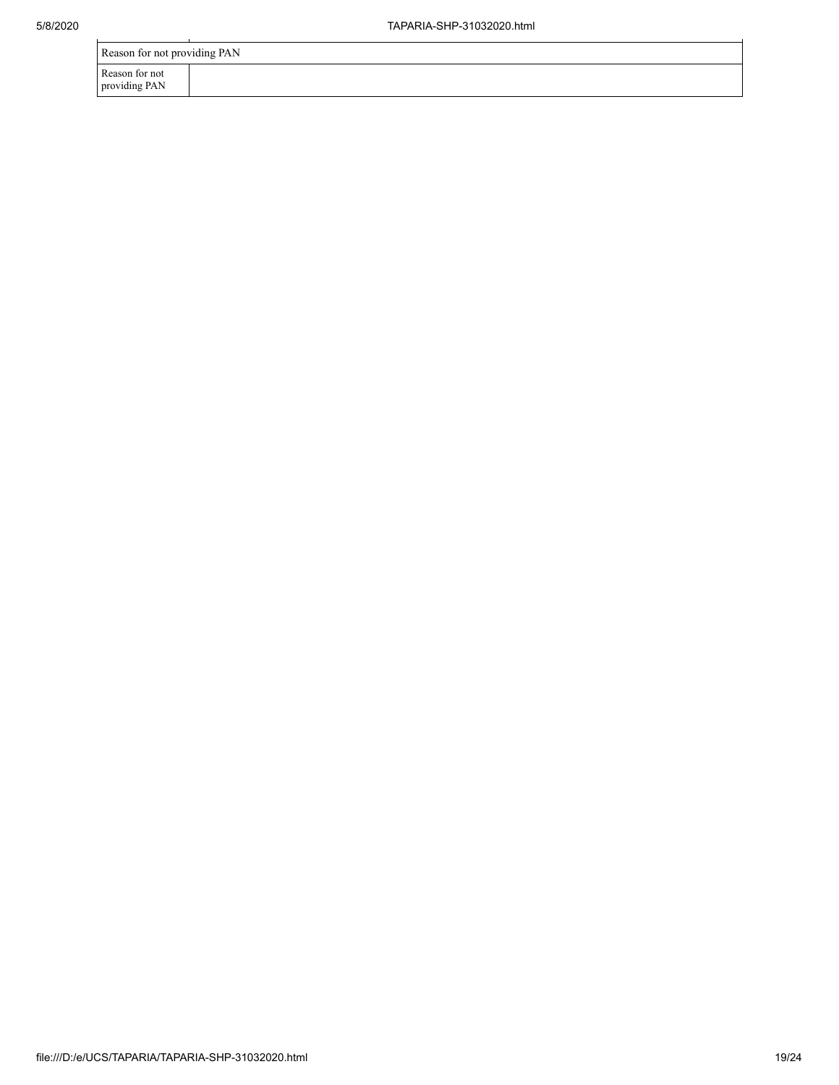| Reason for not providing PAN    |  |
|---------------------------------|--|
| Reason for not<br>providing PAN |  |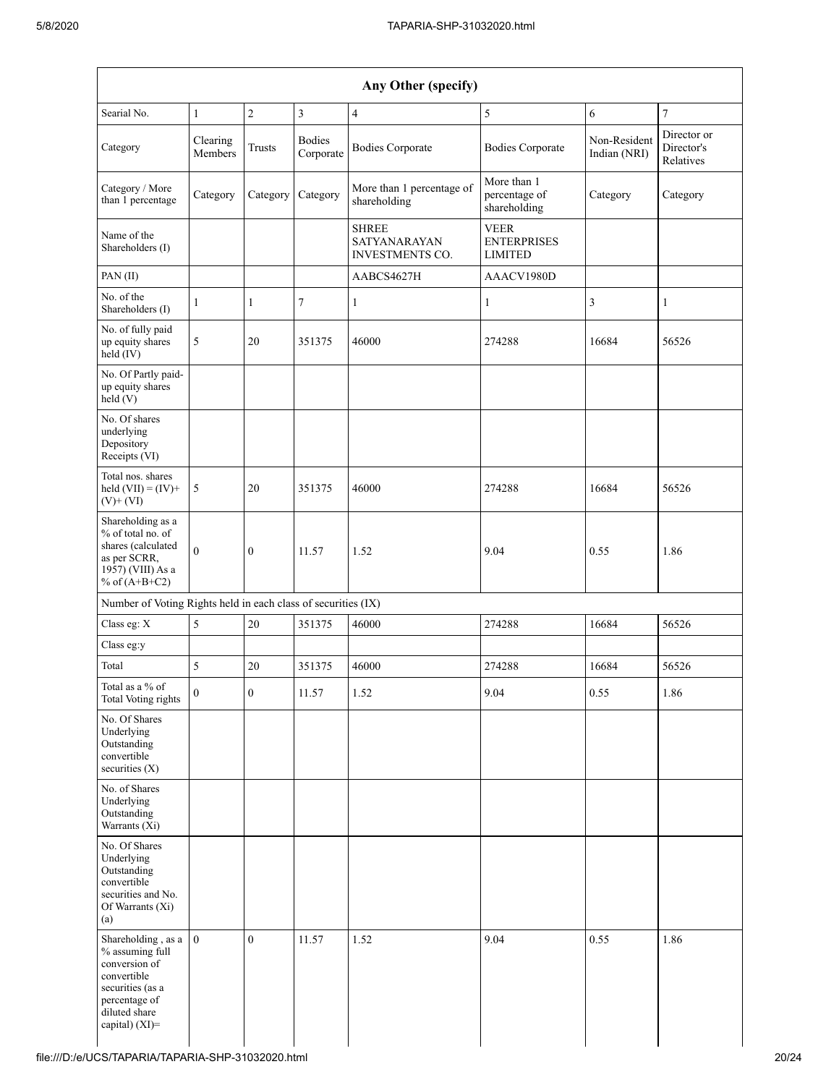| Searial No.                                                                                                                                   | $\mathbf{1}$        | $\overline{2}$   | $\mathfrak{Z}$             | $\overline{4}$                                                | 5                                                   | 6                            | $\tau$                                 |
|-----------------------------------------------------------------------------------------------------------------------------------------------|---------------------|------------------|----------------------------|---------------------------------------------------------------|-----------------------------------------------------|------------------------------|----------------------------------------|
| Category                                                                                                                                      | Clearing<br>Members | <b>Trusts</b>    | <b>Bodies</b><br>Corporate | <b>Bodies Corporate</b>                                       | <b>Bodies Corporate</b>                             | Non-Resident<br>Indian (NRI) | Director or<br>Director's<br>Relatives |
| Category / More<br>than 1 percentage                                                                                                          | Category            | Category         | Category                   | More than 1 percentage of<br>shareholding                     | More than 1<br>percentage of<br>shareholding        | Category                     | Category                               |
| Name of the<br>Shareholders (I)                                                                                                               |                     |                  |                            | <b>SHREE</b><br><b>SATYANARAYAN</b><br><b>INVESTMENTS CO.</b> | <b>VEER</b><br><b>ENTERPRISES</b><br><b>LIMITED</b> |                              |                                        |
| PAN(II)                                                                                                                                       |                     |                  |                            | AABCS4627H                                                    | AAACV1980D                                          |                              |                                        |
| No. of the<br>Shareholders (I)                                                                                                                | 1                   | $\mathbf{1}$     | $\overline{7}$             | $\mathbf{1}$                                                  | $\mathbf{1}$                                        | $\mathfrak{Z}$               | $\mathbf{1}$                           |
| No. of fully paid<br>up equity shares<br>held (IV)                                                                                            | $\sqrt{5}$          | 20               | 351375                     | 46000                                                         | 274288                                              | 16684                        | 56526                                  |
| No. Of Partly paid-<br>up equity shares<br>held(V)                                                                                            |                     |                  |                            |                                                               |                                                     |                              |                                        |
| No. Of shares<br>underlying<br>Depository<br>Receipts (VI)                                                                                    |                     |                  |                            |                                                               |                                                     |                              |                                        |
| Total nos. shares<br>held $(VII) = (IV) +$<br>$(V)$ + $(VI)$                                                                                  | 5                   | 20               | 351375                     | 46000                                                         | 274288                                              | 16684                        | 56526                                  |
| Shareholding as a<br>% of total no. of<br>shares (calculated<br>as per SCRR,<br>1957) (VIII) As a<br>% of $(A+B+C2)$                          | $\theta$            | $\mathbf{0}$     | 11.57                      | 1.52                                                          | 9.04                                                | 0.55                         | 1.86                                   |
| Number of Voting Rights held in each class of securities (IX)                                                                                 |                     |                  |                            |                                                               |                                                     |                              |                                        |
| Class eg: X                                                                                                                                   | 5                   | 20               | 351375                     | 46000                                                         | 274288                                              | 16684                        | 56526                                  |
| Class eg:y                                                                                                                                    |                     |                  |                            |                                                               |                                                     |                              |                                        |
| Total                                                                                                                                         | 5                   | 20               | 351375                     | 46000                                                         | 274288                                              | 16684                        | 56526                                  |
| Total as a % of<br><b>Total Voting rights</b>                                                                                                 | $\boldsymbol{0}$    | $\boldsymbol{0}$ | 11.57                      | 1.52                                                          | 9.04                                                | 0.55                         | 1.86                                   |
| No. Of Shares<br>Underlying<br>Outstanding<br>convertible<br>securities $(X)$                                                                 |                     |                  |                            |                                                               |                                                     |                              |                                        |
| No. of Shares<br>Underlying<br>Outstanding<br>Warrants (Xi)                                                                                   |                     |                  |                            |                                                               |                                                     |                              |                                        |
| No. Of Shares<br>Underlying<br>Outstanding<br>convertible<br>securities and No.<br>Of Warrants (Xi)<br>(a)                                    |                     |                  |                            |                                                               |                                                     |                              |                                        |
| Shareholding, as a<br>% assuming full<br>conversion of<br>convertible<br>securities (as a<br>percentage of<br>diluted share<br>capital) (XI)= | $\mathbf{0}$        | $\overline{0}$   | 11.57                      | 1.52                                                          | 9.04                                                | 0.55                         | 1.86                                   |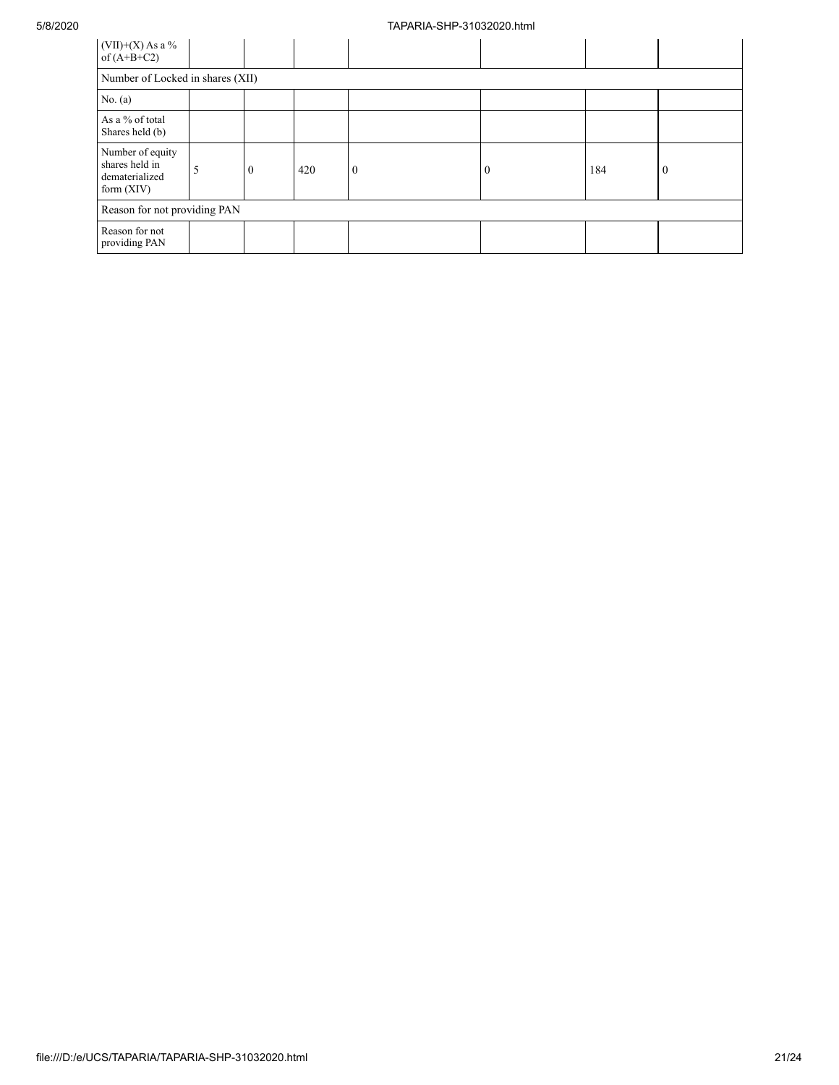| $(VII)+(X)$ As a %<br>of $(A+B+C2)$                                  |  |          |     |              |          |     |          |
|----------------------------------------------------------------------|--|----------|-----|--------------|----------|-----|----------|
| Number of Locked in shares (XII)                                     |  |          |     |              |          |     |          |
| No. $(a)$                                                            |  |          |     |              |          |     |          |
| As a % of total<br>Shares held (b)                                   |  |          |     |              |          |     |          |
| Number of equity<br>shares held in<br>dematerialized<br>form $(XIV)$ |  | $\bf{0}$ | 420 | $\mathbf{0}$ | $\theta$ | 184 | $\theta$ |
| Reason for not providing PAN                                         |  |          |     |              |          |     |          |
| Reason for not<br>providing PAN                                      |  |          |     |              |          |     |          |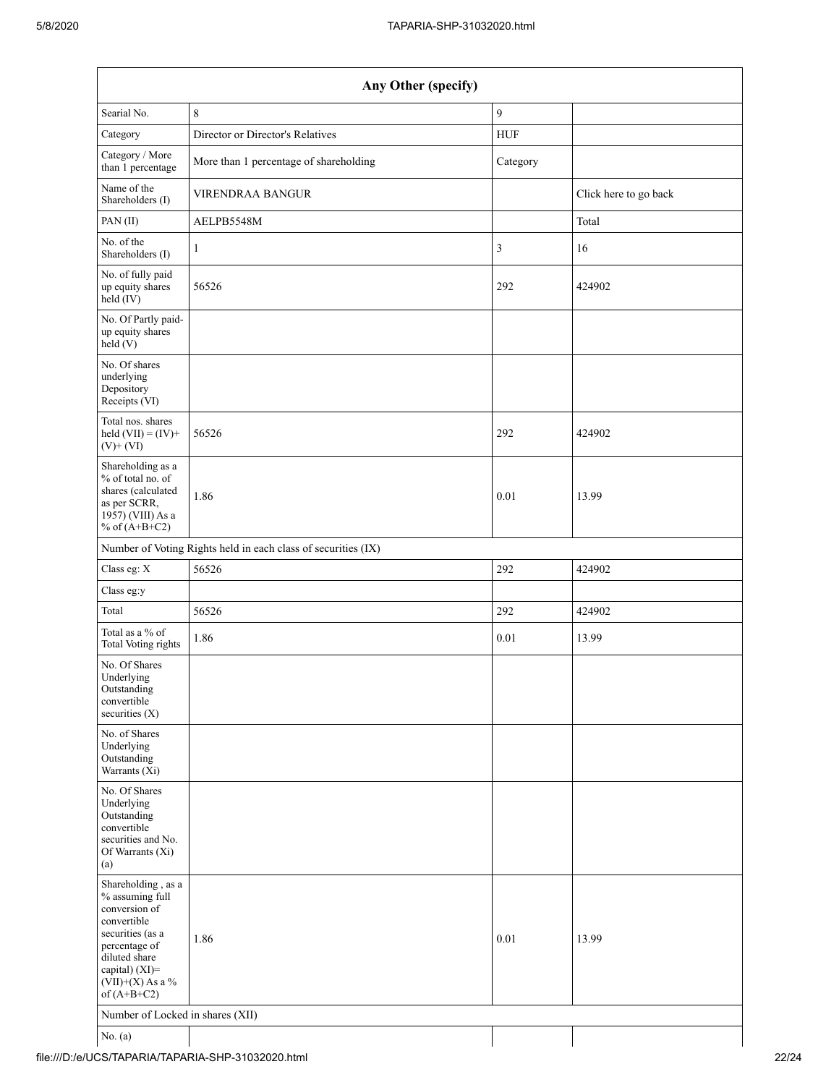| Any Other (specify)                                                                                                                                                                  |                                                               |            |                       |  |  |  |  |
|--------------------------------------------------------------------------------------------------------------------------------------------------------------------------------------|---------------------------------------------------------------|------------|-----------------------|--|--|--|--|
| Searial No.                                                                                                                                                                          | 8                                                             | 9          |                       |  |  |  |  |
| Category                                                                                                                                                                             | Director or Director's Relatives                              | <b>HUF</b> |                       |  |  |  |  |
| Category / More<br>than 1 percentage                                                                                                                                                 | More than 1 percentage of shareholding                        | Category   |                       |  |  |  |  |
| Name of the<br>Shareholders (I)                                                                                                                                                      | <b>VIRENDRAA BANGUR</b>                                       |            | Click here to go back |  |  |  |  |
| PAN(II)                                                                                                                                                                              | AELPB5548M                                                    |            | Total                 |  |  |  |  |
| No. of the<br>Shareholders (I)                                                                                                                                                       | $\mathbf{1}$                                                  | 3          | 16                    |  |  |  |  |
| No. of fully paid<br>up equity shares<br>held (IV)                                                                                                                                   | 56526                                                         | 292        | 424902                |  |  |  |  |
| No. Of Partly paid-<br>up equity shares<br>held (V)                                                                                                                                  |                                                               |            |                       |  |  |  |  |
| No. Of shares<br>underlying<br>Depository<br>Receipts (VI)                                                                                                                           |                                                               |            |                       |  |  |  |  |
| Total nos. shares<br>held $(VII) = (IV) +$<br>$(V)$ + $(VI)$                                                                                                                         | 56526                                                         | 292        | 424902                |  |  |  |  |
| Shareholding as a<br>% of total no. of<br>shares (calculated<br>as per SCRR,<br>1957) (VIII) As a<br>% of $(A+B+C2)$                                                                 | 1.86                                                          | 0.01       | 13.99                 |  |  |  |  |
|                                                                                                                                                                                      | Number of Voting Rights held in each class of securities (IX) |            |                       |  |  |  |  |
| Class eg: X                                                                                                                                                                          | 56526                                                         | 292        | 424902                |  |  |  |  |
| Class eg:y                                                                                                                                                                           |                                                               |            |                       |  |  |  |  |
| Total                                                                                                                                                                                | 56526                                                         | 292        | 424902                |  |  |  |  |
| Total as a % of<br><b>Total Voting rights</b>                                                                                                                                        | 1.86                                                          | 0.01       | 13.99                 |  |  |  |  |
| No. Of Shares<br>Underlying<br>Outstanding<br>convertible<br>securities (X)                                                                                                          |                                                               |            |                       |  |  |  |  |
| No. of Shares<br>Underlying<br>Outstanding<br>Warrants (Xi)                                                                                                                          |                                                               |            |                       |  |  |  |  |
| No. Of Shares<br>Underlying<br>Outstanding<br>convertible<br>securities and No.<br>Of Warrants (Xi)<br>(a)                                                                           |                                                               |            |                       |  |  |  |  |
| Shareholding, as a<br>% assuming full<br>conversion of<br>convertible<br>securities (as a<br>percentage of<br>diluted share<br>capital) (XI)=<br>$(VII)+(X)$ As a %<br>of $(A+B+C2)$ | 1.86                                                          | 0.01       | 13.99                 |  |  |  |  |
| Number of Locked in shares (XII)                                                                                                                                                     |                                                               |            |                       |  |  |  |  |
| No. (a)                                                                                                                                                                              |                                                               |            |                       |  |  |  |  |

file:///D:/e/UCS/TAPARIA/TAPARIA-SHP-31032020.html 22/24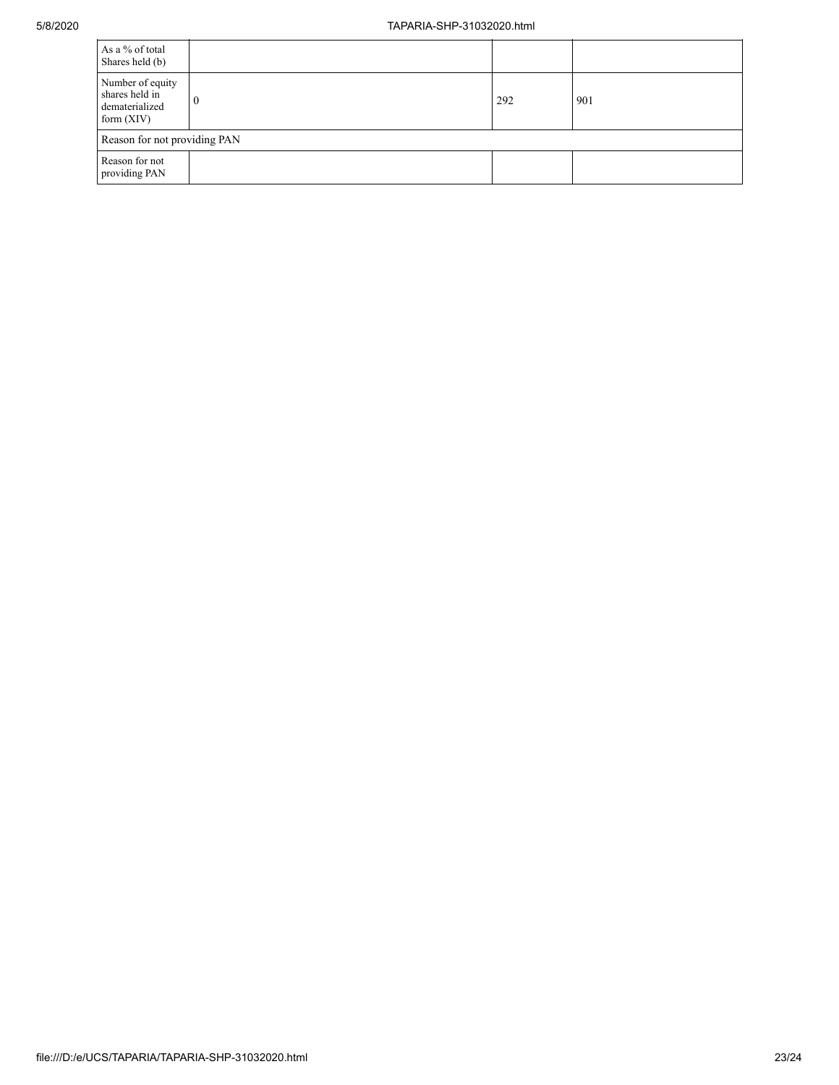| As a % of total<br>Shares held (b)                                   |          |     |     |
|----------------------------------------------------------------------|----------|-----|-----|
| Number of equity<br>shares held in<br>dematerialized<br>form $(XIV)$ | $\bf{0}$ | 292 | 901 |
| Reason for not providing PAN                                         |          |     |     |
| Reason for not<br>providing PAN                                      |          |     |     |